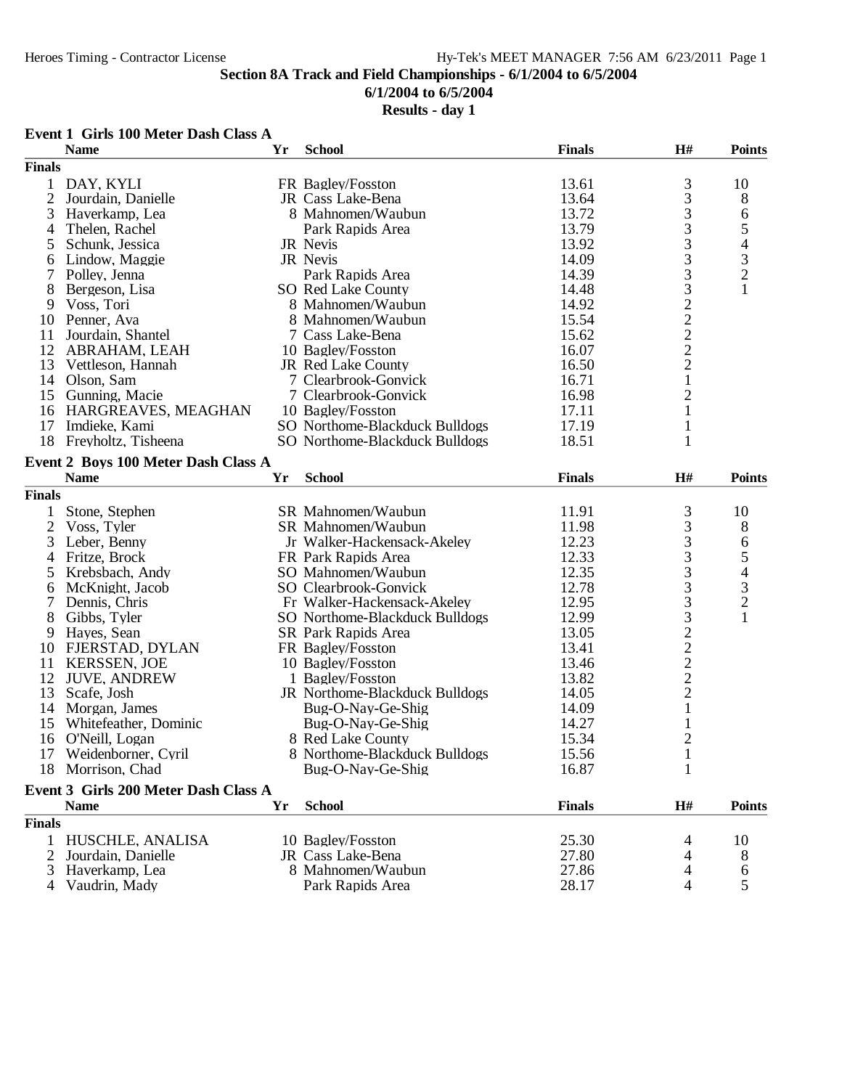## **6/1/2004 to 6/5/2004**

## **Results - day 1**

#### **Event 1 Girls 100 Meter Dash Class A**

|                | <b>Name</b>                          | Yr | <b>School</b>                  | <b>Finals</b> | H#                                              | <b>Points</b>            |
|----------------|--------------------------------------|----|--------------------------------|---------------|-------------------------------------------------|--------------------------|
| <b>Finals</b>  |                                      |    |                                |               |                                                 |                          |
| 1              | DAY, KYLI                            |    | FR Bagley/Fosston              | 13.61         |                                                 | 10                       |
| $\mathfrak{2}$ | Jourdain, Danielle                   |    | JR Cass Lake-Bena              | 13.64         |                                                 | 8                        |
| 3              | Haverkamp, Lea                       |    | 8 Mahnomen/Waubun              | 13.72         | $\begin{array}{c} 3 \\ 3 \\ 3 \end{array}$      | 6                        |
| 4              | Thelen, Rachel                       |    | Park Rapids Area               | 13.79         |                                                 | 5                        |
| 5              | Schunk, Jessica                      |    | JR Nevis                       | 13.92         | 3333222221                                      | $\overline{\mathcal{L}}$ |
| 6              | Lindow, Maggie                       |    | JR Nevis                       | 14.09         |                                                 |                          |
| 7              | Polley, Jenna                        |    | Park Rapids Area               | 14.39         |                                                 | $\frac{3}{2}$            |
| 8              | Bergeson, Lisa                       |    | SO Red Lake County             | 14.48         |                                                 | $\mathbf{1}$             |
| 9              | Voss, Tori                           |    | 8 Mahnomen/Waubun              | 14.92         |                                                 |                          |
| 10             | Penner, Ava                          |    | 8 Mahnomen/Waubun              | 15.54         |                                                 |                          |
| 11             | Jourdain, Shantel                    |    | 7 Cass Lake-Bena               | 15.62         |                                                 |                          |
| 12             |                                      |    |                                | 16.07         |                                                 |                          |
|                | ABRAHAM, LEAH                        |    | 10 Bagley/Fosston              |               |                                                 |                          |
| 13             | Vettleson, Hannah                    |    | JR Red Lake County             | 16.50         |                                                 |                          |
|                | 14 Olson, Sam                        |    | 7 Clearbrook-Gonvick           | 16.71         |                                                 |                          |
| 15             | Gunning, Macie                       |    | 7 Clearbrook-Gonvick           | 16.98         | $\overline{c}$                                  |                          |
| 16             | HARGREAVES, MEAGHAN                  |    | 10 Bagley/Fosston              | 17.11         | $\mathbf{1}$                                    |                          |
| 17             | Imdieke, Kami                        |    | SO Northome-Blackduck Bulldogs | 17.19         | $\mathbf{1}$                                    |                          |
| 18             | Freyholtz, Tisheena                  |    | SO Northome-Blackduck Bulldogs | 18.51         | $\mathbf{1}$                                    |                          |
|                | Event 2 Boys 100 Meter Dash Class A  |    |                                |               |                                                 |                          |
|                | <b>Name</b>                          | Yr | <b>School</b>                  | <b>Finals</b> | H#                                              | <b>Points</b>            |
| <b>Finals</b>  |                                      |    |                                |               |                                                 |                          |
|                |                                      |    |                                |               |                                                 |                          |
| $\mathbf 1$    | Stone, Stephen                       |    | SR Mahnomen/Waubun             | 11.91         | 3                                               | 10                       |
| $\overline{2}$ | Voss, Tyler                          |    | SR Mahnomen/Waubun             | 11.98         | $\begin{array}{c} 3 \\ 3 \\ 3 \\ 3 \end{array}$ | 8                        |
| 3              | Leber, Benny                         |    | Jr Walker-Hackensack-Akeley    | 12.23         |                                                 | 6                        |
| 4              | Fritze, Brock                        |    | FR Park Rapids Area            | 12.33         |                                                 | 5                        |
| 5              | Krebsbach, Andy                      |    | SO Mahnomen/Waubun             | 12.35         |                                                 | $\overline{\mathcal{A}}$ |
| 6              | McKnight, Jacob                      |    | SO Clearbrook-Gonvick          | 12.78         | 3332222                                         | $\frac{3}{2}$            |
| 7              | Dennis, Chris                        |    | Fr Walker-Hackensack-Akeley    | 12.95         |                                                 |                          |
| 8              | Gibbs, Tyler                         |    | SO Northome-Blackduck Bulldogs | 12.99         |                                                 | $\mathbf{1}$             |
| 9              | Hayes, Sean                          |    | SR Park Rapids Area            | 13.05         |                                                 |                          |
| 10             | FJERSTAD, DYLAN                      |    | FR Bagley/Fosston              | 13.41         |                                                 |                          |
| 11             | <b>KERSSEN, JOE</b>                  |    | 10 Bagley/Fosston              | 13.46         |                                                 |                          |
| 12             | <b>JUVE, ANDREW</b>                  |    | 1 Bagley/Fosston               | 13.82         |                                                 |                          |
| 13             | Scafe, Josh                          |    | JR Northome-Blackduck Bulldogs | 14.05         |                                                 |                          |
| 14             | Morgan, James                        |    | Bug-O-Nay-Ge-Shig              | 14.09         | $\mathbf{1}$                                    |                          |
| 15             | Whitefeather, Dominic                |    | Bug-O-Nay-Ge-Shig              | 14.27         | $\mathbf{1}$                                    |                          |
| 16             | O'Neill, Logan                       |    | 8 Red Lake County              | 15.34         | $\overline{c}$                                  |                          |
| 17             | Weidenborner, Cyril                  |    | 8 Northome-Blackduck Bulldogs  | 15.56         | $\mathbf{1}$                                    |                          |
| 18             | Morrison, Chad                       |    | Bug-O-Nay-Ge-Shig              | 16.87         | $\mathbf{1}$                                    |                          |
|                |                                      |    |                                |               |                                                 |                          |
|                | Event 3 Girls 200 Meter Dash Class A |    |                                |               |                                                 |                          |
|                | <b>Name</b>                          | Yr | <b>School</b>                  | <b>Finals</b> | H#                                              | <b>Points</b>            |
| <b>Finals</b>  |                                      |    |                                |               |                                                 |                          |
| 1              | HUSCHLE, ANALISA                     |    | 10 Bagley/Fosston              | 25.30         | 4                                               | 10                       |
|                | Jourdain, Danielle                   |    | JR Cass Lake-Bena              | 27.80         | 4                                               | 8                        |
| 3              | Haverkamp, Lea                       |    | 8 Mahnomen/Waubun              | 27.86         | 4                                               | 6                        |
| 4              | Vaudrin, Mady                        |    | Park Rapids Area               | 28.17         | 4                                               | 5                        |
|                |                                      |    |                                |               |                                                 |                          |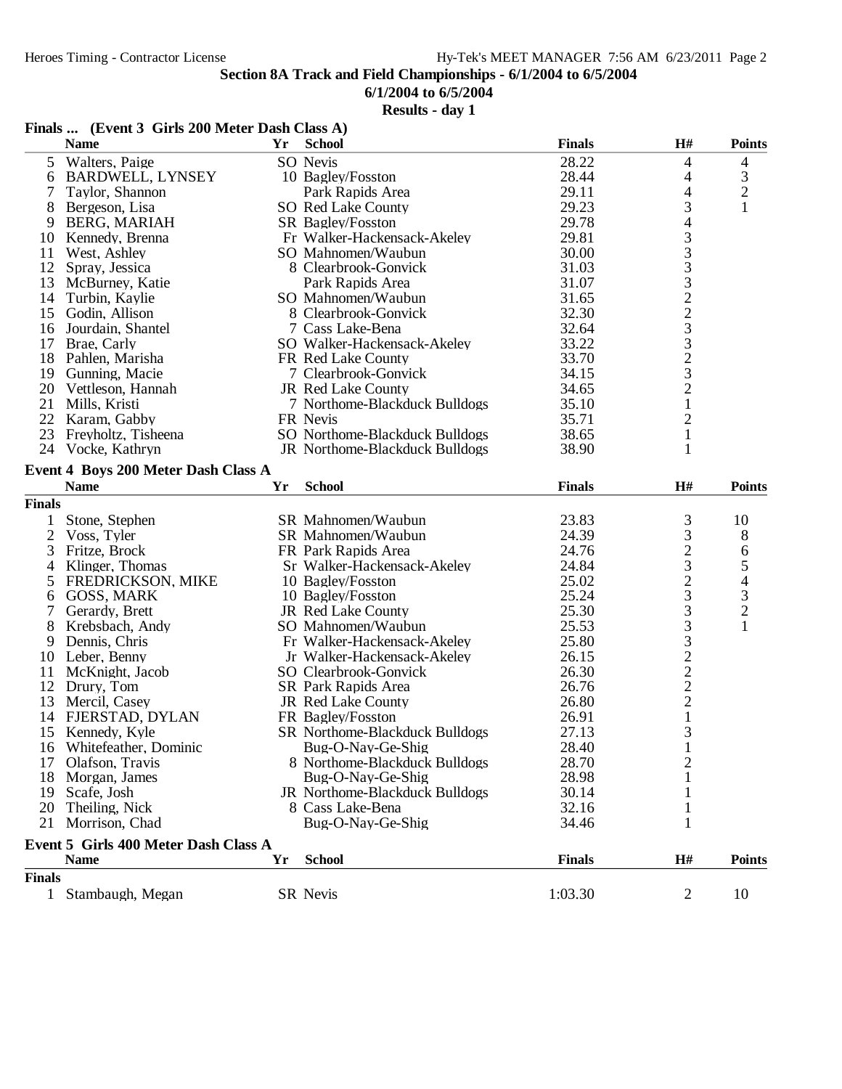## **6/1/2004 to 6/5/2004**

|                | Finals  (Event 3 Girls 200 Meter Dash Class A) |    |                                |               |                 |                          |
|----------------|------------------------------------------------|----|--------------------------------|---------------|-----------------|--------------------------|
|                | <b>Name</b>                                    | Yr | <b>School</b>                  | <b>Finals</b> | H#              | <b>Points</b>            |
| 5              | Walters, Paige                                 |    | SO Nevis                       | 28.22         | 4               | 4                        |
| 6              | <b>BARDWELL, LYNSEY</b>                        |    | 10 Bagley/Fosston              | 28.44         | 4               | 3                        |
| 7              | Taylor, Shannon                                |    | Park Rapids Area               | 29.11         | 4               | $\overline{c}$           |
| 8              | Bergeson, Lisa                                 |    | SO Red Lake County             | 29.23         | 3               | $\mathbf{1}$             |
| 9              | BERG, MARIAH                                   |    | SR Bagley/Fosston              | 29.78         | 4               |                          |
| 10             | Kennedy, Brenna                                |    | Fr Walker-Hackensack-Akeley    | 29.81         |                 |                          |
| 11             | West, Ashley                                   |    | SO Mahnomen/Waubun             | 30.00         | 333323323       |                          |
| 12             | Spray, Jessica                                 |    | 8 Clearbrook-Gonvick           | 31.03         |                 |                          |
| 13             | McBurney, Katie                                |    | Park Rapids Area               | 31.07         |                 |                          |
|                | 14 Turbin, Kaylie                              |    | SO Mahnomen/Waubun             | 31.65         |                 |                          |
|                | 15 Godin, Allison                              |    | 8 Clearbrook-Gonvick           | 32.30         |                 |                          |
|                | 16 Jourdain, Shantel                           |    | 7 Cass Lake-Bena               | 32.64         |                 |                          |
|                | 17 Brae, Carly                                 |    | SO Walker-Hackensack-Akeley    | 33.22         |                 |                          |
|                | 18 Pahlen, Marisha                             |    | FR Red Lake County             | 33.70         |                 |                          |
|                | 19 Gunning, Macie                              |    | 7 Clearbrook-Gonvick           | 34.15         |                 |                          |
|                | 20 Vettleson, Hannah                           |    | JR Red Lake County             | 34.65         | $\overline{c}$  |                          |
|                | 21 Mills, Kristi                               |    | 7 Northome-Blackduck Bulldogs  | 35.10         | $\mathbf{1}$    |                          |
| 22             | Karam, Gabby                                   |    | FR Nevis                       | 35.71         | 2               |                          |
|                | 23 Freyholtz, Tisheena                         |    | SO Northome-Blackduck Bulldogs | 38.65         | 1               |                          |
|                | 24 Vocke, Kathryn                              |    | JR Northome-Blackduck Bulldogs | 38.90         | 1               |                          |
|                | Event 4 Boys 200 Meter Dash Class A            |    |                                |               |                 |                          |
|                | <b>Name</b>                                    | Yr | <b>School</b>                  | <b>Finals</b> | H#              | <b>Points</b>            |
| <b>Finals</b>  |                                                |    |                                |               |                 |                          |
| 1              | Stone, Stephen                                 |    | SR Mahnomen/Waubun             | 23.83         | 3               | 10                       |
| $\overline{2}$ | Voss, Tyler                                    |    | SR Mahnomen/Waubun             | 24.39         | 3               | 8                        |
| 3              | Fritze, Brock                                  |    | FR Park Rapids Area            | 24.76         |                 | 6                        |
| 4              | Klinger, Thomas                                |    | Sr Walker-Hackensack-Akeley    | 24.84         | $\frac{2}{3}$   | 5                        |
| 5              | <b>FREDRICKSON, MIKE</b>                       |    | 10 Bagley/Fosston              | 25.02         | $\overline{c}$  | $\overline{\mathcal{A}}$ |
| 6              | GOSS, MARK                                     |    | 10 Bagley/Fosston              | 25.24         | 3               | 3                        |
| 7              | Gerardy, Brett                                 |    | JR Red Lake County             | 25.30         | 3               | $\overline{c}$           |
| 8              | Krebsbach, Andy                                |    | SO Mahnomen/Waubun             | 25.53         | 3               | $\mathbf{1}$             |
| 9              | Dennis, Chris                                  |    | Fr Walker-Hackensack-Akeley    | 25.80         |                 |                          |
| 10             | Leber, Benny                                   |    | Jr Walker-Hackensack-Akeley    | 26.15         | $3222$<br>$221$ |                          |
| 11             | McKnight, Jacob                                |    | SO Clearbrook-Gonvick          | 26.30         |                 |                          |
| 12             | Drury, Tom                                     |    | SR Park Rapids Area            | 26.76         |                 |                          |
| 13             | Mercil, Casey                                  |    | JR Red Lake County             | 26.80         |                 |                          |
|                | 14 FJERSTAD, DYLAN                             |    | FR Bagley/Fosston              | 26.91         |                 |                          |
|                | 15 Kennedy, Kyle                               |    | SR Northome-Blackduck Bulldogs | 27.13         | 3               |                          |
|                | 16 Whitefeather, Dominic                       |    | Bug-O-Nay-Ge-Shig              | 28.40         | 1               |                          |
| 17             | Olafson, Travis                                |    | 8 Northome-Blackduck Bulldogs  | 28.70         |                 |                          |
| 18             | Morgan, James                                  |    | Bug-O-Nay-Ge-Shig              | 28.98         |                 |                          |
| 19             | Scafe, Josh                                    |    | JR Northome-Blackduck Bulldogs | 30.14         |                 |                          |
| 20             | Theiling, Nick                                 |    | 8 Cass Lake-Bena               | 32.16         |                 |                          |
| 21             | Morrison, Chad                                 |    | Bug-O-Nay-Ge-Shig              | 34.46         | 1               |                          |
|                | Event 5 Girls 400 Meter Dash Class A           |    |                                |               |                 |                          |
|                | <b>Name</b>                                    | Yr | <b>School</b>                  | <b>Finals</b> | H#              | <b>Points</b>            |
| <b>Finals</b>  |                                                |    |                                |               |                 |                          |
|                | 1 Stambaugh, Megan                             |    | SR Nevis                       | 1:03.30       | 2               | 10                       |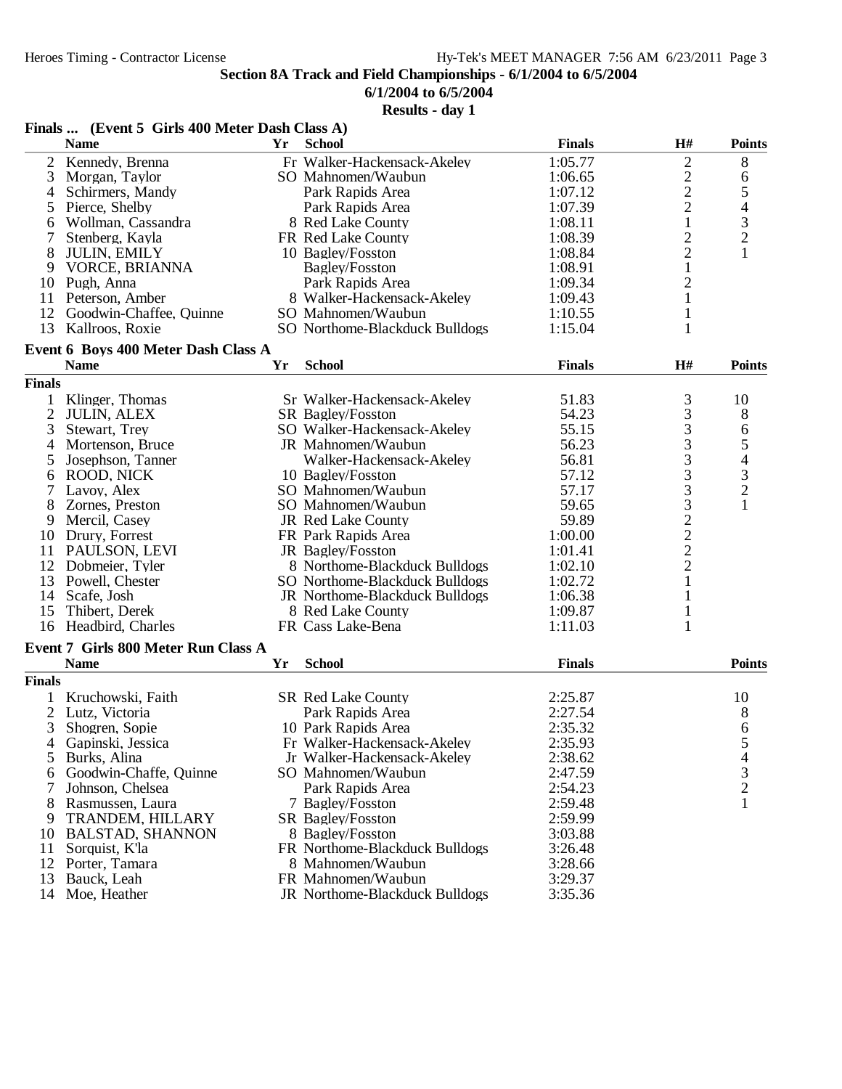**6/1/2004 to 6/5/2004**

|                     | Finals  (Event 5 Girls 400 Meter Dash Class A)     |    |                                |               |                                            |                                            |
|---------------------|----------------------------------------------------|----|--------------------------------|---------------|--------------------------------------------|--------------------------------------------|
|                     | <b>Name</b>                                        | Yr | <b>School</b>                  | <b>Finals</b> | H#                                         | <b>Points</b>                              |
| $\overline{c}$      | Kennedy, Brenna                                    |    | Fr Walker-Hackensack-Akeley    | 1:05.77       | $\overline{c}$                             | 8                                          |
| 3                   | Morgan, Taylor                                     |    | SO Mahnomen/Waubun             | 1:06.65       |                                            | 6                                          |
| 4                   | Schirmers, Mandy                                   |    | Park Rapids Area               | 1:07.12       | $\frac{2}{2}$                              | 5                                          |
| 5                   | Pierce, Shelby                                     |    | Park Rapids Area               | 1:07.39       | $\overline{c}$                             |                                            |
| 6                   | Wollman, Cassandra                                 |    | 8 Red Lake County              | 1:08.11       | $\mathbf{1}$                               | $\begin{array}{c} 4 \\ 3 \\ 2 \end{array}$ |
| 7                   | Stenberg, Kayla                                    |    | FR Red Lake County             | 1:08.39       | $\overline{c}$                             |                                            |
| 8                   | <b>JULIN, EMILY</b>                                |    | 10 Bagley/Fosston              | 1:08.84       | $\overline{c}$                             | $\mathbf{1}$                               |
| 9                   | VORCE, BRIANNA                                     |    | Bagley/Fosston                 | 1:08.91       | $\mathbf{1}$                               |                                            |
|                     | 10 Pugh, Anna                                      |    | Park Rapids Area               | 1:09.34       | $\overline{c}$                             |                                            |
|                     | 11 Peterson, Amber                                 |    | 8 Walker-Hackensack-Akeley     | 1:09.43       | $\mathbf{1}$                               |                                            |
| 12                  | Goodwin-Chaffee, Quinne                            |    | SO Mahnomen/Waubun             | 1:10.55       | $\mathbf{1}$                               |                                            |
| 13                  | Kallroos, Roxie                                    |    | SO Northome-Blackduck Bulldogs | 1:15.04       | $\mathbf{1}$                               |                                            |
|                     |                                                    |    |                                |               |                                            |                                            |
|                     | Event 6 Boys 400 Meter Dash Class A<br><b>Name</b> | Yr | <b>School</b>                  | <b>Finals</b> | H#                                         | <b>Points</b>                              |
| <b>Finals</b>       |                                                    |    |                                |               |                                            |                                            |
|                     |                                                    |    | Sr Walker-Hackensack-Akeley    | 51.83         |                                            |                                            |
| 1<br>$\overline{2}$ | Klinger, Thomas                                    |    | SR Bagley/Fosston              | 54.23         | 3<br>3                                     | 10                                         |
|                     | <b>JULIN, ALEX</b>                                 |    | SO Walker-Hackensack-Akeley    | 55.15         |                                            | 8                                          |
| 3                   | Stewart, Trey                                      |    | JR Mahnomen/Waubun             | 56.23         | $\begin{array}{c} 3 \\ 3 \\ 3 \end{array}$ | 65432                                      |
| 4                   | Mortenson, Bruce                                   |    |                                |               |                                            |                                            |
| 5                   | Josephson, Tanner                                  |    | Walker-Hackensack-Akeley       | 56.81         |                                            |                                            |
| 6                   | ROOD, NICK                                         |    | 10 Bagley/Fosston              | 57.12         | 3                                          |                                            |
| 7                   | Lavoy, Alex                                        |    | SO Mahnomen/Waubun             | 57.17         | 3                                          |                                            |
| 8                   | Zornes, Preston                                    |    | SO Mahnomen/Waubun             | 59.65         | $\frac{3}{2}$<br>$\frac{2}{2}$             | $\mathbf{1}$                               |
| 9                   | Mercil, Casey                                      |    | JR Red Lake County             | 59.89         |                                            |                                            |
| 10                  | Drury, Forrest                                     |    | FR Park Rapids Area            | 1:00.00       |                                            |                                            |
| 11                  | PAULSON, LEVI                                      |    | JR Bagley/Fosston              | 1:01.41       |                                            |                                            |
| 12                  | Dobmeier, Tyler                                    |    | 8 Northome-Blackduck Bulldogs  | 1:02.10       |                                            |                                            |
| 13                  | Powell, Chester                                    |    | SO Northome-Blackduck Bulldogs | 1:02.72       | $\mathbf{1}$                               |                                            |
| 14                  | Scafe, Josh                                        |    | JR Northome-Blackduck Bulldogs | 1:06.38       | $\mathbf{1}$                               |                                            |
| 15                  | Thibert, Derek                                     |    | 8 Red Lake County              | 1:09.87       | $\mathbf{1}$                               |                                            |
| 16                  | Headbird, Charles                                  |    | FR Cass Lake-Bena              | 1:11.03       | $\mathbf{1}$                               |                                            |
|                     | Event 7 Girls 800 Meter Run Class A                |    |                                |               |                                            |                                            |
|                     | <b>Name</b>                                        | Yr | <b>School</b>                  | <b>Finals</b> |                                            | <b>Points</b>                              |
| <b>Finals</b>       |                                                    |    |                                |               |                                            |                                            |
|                     | Kruchowski, Faith                                  |    | <b>SR Red Lake County</b>      | 2:25.87       |                                            | 10                                         |
| 2                   | Lutz, Victoria                                     |    | Park Rapids Area               | 2:27.54       |                                            | 8                                          |
| 3                   | Shogren, Sopie                                     |    | 10 Park Rapids Area            | 2:35.32       |                                            | 6                                          |
| 4                   | Gapinski, Jessica                                  |    | Fr Walker-Hackensack-Akeley    | 2:35.93       |                                            | 5                                          |
| 5                   | Burks, Alina                                       |    | Jr Walker-Hackensack-Akeley    | 2:38.62       |                                            |                                            |
| 6                   | Goodwin-Chaffe, Quinne                             |    | SO Mahnomen/Waubun             | 2:47.59       |                                            | $\begin{array}{c} 4 \\ 3 \\ 2 \end{array}$ |
|                     | Johnson, Chelsea                                   |    | Park Rapids Area               | 2:54.23       |                                            |                                            |
| 8                   | Rasmussen, Laura                                   |    | 7 Bagley/Fosston               | 2:59.48       |                                            | $\mathbf{1}$                               |
| 9                   | TRANDEM, HILLARY                                   |    | SR Bagley/Fosston              | 2:59.99       |                                            |                                            |
| 10                  | <b>BALSTAD, SHANNON</b>                            |    | 8 Bagley/Fosston               | 3:03.88       |                                            |                                            |
| 11                  | Sorquist, K'la                                     |    | FR Northome-Blackduck Bulldogs | 3:26.48       |                                            |                                            |
| 12                  | Porter, Tamara                                     |    | 8 Mahnomen/Waubun              | 3:28.66       |                                            |                                            |
| 13                  | Bauck, Leah                                        |    | FR Mahnomen/Waubun             | 3:29.37       |                                            |                                            |
| 14                  | Moe, Heather                                       |    | JR Northome-Blackduck Bulldogs | 3:35.36       |                                            |                                            |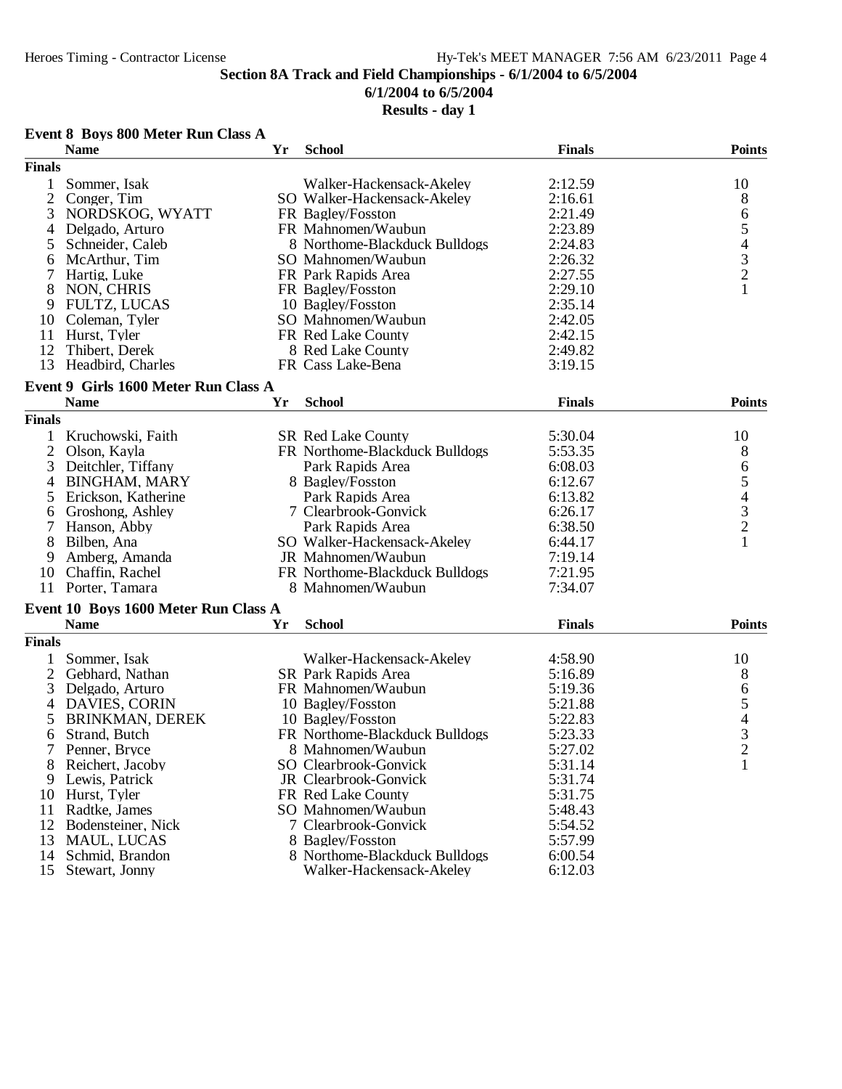# **6/1/2004 to 6/5/2004**

| Event 8 Boys 800 Meter Run Class A |  |  |  |  |  |  |
|------------------------------------|--|--|--|--|--|--|
|------------------------------------|--|--|--|--|--|--|

|                | <b>Name</b>                                         | Yr | <b>School</b>                  | <b>Finals</b> | <b>Points</b>                                   |
|----------------|-----------------------------------------------------|----|--------------------------------|---------------|-------------------------------------------------|
| <b>Finals</b>  |                                                     |    |                                |               |                                                 |
| 1              | Sommer, Isak                                        |    | Walker-Hackensack-Akeley       | 2:12.59       | 10                                              |
| $\overline{2}$ | Conger, Tim                                         |    | SO Walker-Hackensack-Akeley    | 2:16.61       | 8                                               |
| 3              | NORDSKOG, WYATT                                     |    | FR Bagley/Fosston              | 2:21.49       | 6                                               |
| 4              | Delgado, Arturo                                     |    | FR Mahnomen/Waubun             | 2:23.89       | 5                                               |
| 5              | Schneider, Caleb                                    |    | 8 Northome-Blackduck Bulldogs  | 2:24.83       |                                                 |
| 6              | McArthur, Tim                                       |    | SO Mahnomen/Waubun             | 2:26.32       | $\begin{array}{c} 4 \\ 3 \\ 2 \\ 1 \end{array}$ |
| 7              | Hartig, Luke                                        |    | FR Park Rapids Area            | 2:27.55       |                                                 |
| 8              | NON, CHRIS                                          |    | FR Bagley/Fosston              | 2:29.10       |                                                 |
| 9              | <b>FULTZ, LUCAS</b>                                 |    | 10 Bagley/Fosston              | 2:35.14       |                                                 |
| 10             | Coleman, Tyler                                      |    | SO Mahnomen/Waubun             | 2:42.05       |                                                 |
| 11             | Hurst, Tyler                                        |    | FR Red Lake County             | 2:42.15       |                                                 |
| 12             | Thibert, Derek                                      |    | 8 Red Lake County              | 2:49.82       |                                                 |
| 13             | Headbird, Charles                                   |    | FR Cass Lake-Bena              | 3:19.15       |                                                 |
|                |                                                     |    |                                |               |                                                 |
|                | Event 9 Girls 1600 Meter Run Class A<br><b>Name</b> | Yr | <b>School</b>                  | <b>Finals</b> | <b>Points</b>                                   |
| <b>Finals</b>  |                                                     |    |                                |               |                                                 |
|                |                                                     |    |                                |               |                                                 |
| 1              | Kruchowski, Faith                                   |    | <b>SR Red Lake County</b>      | 5:30.04       | 10                                              |
| $\overline{2}$ | Olson, Kayla                                        |    | FR Northome-Blackduck Bulldogs | 5:53.35       | 8                                               |
| 3              | Deitchler, Tiffany                                  |    | Park Rapids Area               | 6:08.03       | 6                                               |
| $\overline{4}$ | <b>BINGHAM, MARY</b>                                |    | 8 Bagley/Fosston               | 6:12.67       | 54321                                           |
| 5              | Erickson, Katherine                                 |    | Park Rapids Area               | 6:13.82       |                                                 |
| 6              | Groshong, Ashley                                    |    | 7 Clearbrook-Gonvick           | 6:26.17       |                                                 |
| 7              | Hanson, Abby                                        |    | Park Rapids Area               | 6:38.50       |                                                 |
| 8              | Bilben, Ana                                         |    | SO Walker-Hackensack-Akeley    | 6:44.17       |                                                 |
| 9              | Amberg, Amanda                                      |    | JR Mahnomen/Waubun             | 7:19.14       |                                                 |
| 10             | Chaffin, Rachel                                     |    | FR Northome-Blackduck Bulldogs | 7:21.95       |                                                 |
|                | 11 Porter, Tamara                                   |    | 8 Mahnomen/Waubun              | 7:34.07       |                                                 |
|                | Event 10 Boys 1600 Meter Run Class A                |    |                                |               |                                                 |
|                | <b>Name</b>                                         | Yr | <b>School</b>                  | <b>Finals</b> | <b>Points</b>                                   |
| <b>Finals</b>  |                                                     |    |                                |               |                                                 |
|                | Sommer, Isak                                        |    | Walker-Hackensack-Akeley       | 4:58.90       | 10                                              |
| 2              | Gebhard, Nathan                                     |    | SR Park Rapids Area            | 5:16.89       | 8                                               |
| 3              | Delgado, Arturo                                     |    | FR Mahnomen/Waubun             | 5:19.36       | $\boldsymbol{6}$                                |
| 4              | <b>DAVIES, CORIN</b>                                |    | 10 Bagley/Fosston              | 5:21.88       | 5                                               |
| 5              | <b>BRINKMAN, DEREK</b>                              |    | 10 Bagley/Fosston              | 5:22.83       |                                                 |
| 6              | Strand, Butch                                       |    | FR Northome-Blackduck Bulldogs | 5:23.33       | $\begin{array}{c} 4 \\ 3 \\ 2 \end{array}$      |
|                | Penner, Bryce                                       |    | 8 Mahnomen/Waubun              | 5:27.02       |                                                 |
| 8              | Reichert, Jacoby                                    |    | SO Clearbrook-Gonvick          | 5:31.14       | $\mathbf{1}$                                    |
| 9              | Lewis, Patrick                                      |    | JR Clearbrook-Gonvick          | 5:31.74       |                                                 |
| 10             | Hurst, Tyler                                        |    | FR Red Lake County             | 5:31.75       |                                                 |
| 11             | Radtke, James                                       |    | SO Mahnomen/Waubun             | 5:48.43       |                                                 |
| 12             | Bodensteiner, Nick                                  |    | 7 Clearbrook-Gonvick           | 5:54.52       |                                                 |
| 13             | MAUL, LUCAS                                         |    | 8 Bagley/Fosston               | 5:57.99       |                                                 |
| 14             | Schmid, Brandon                                     |    | 8 Northome-Blackduck Bulldogs  | 6:00.54       |                                                 |
| 15             | Stewart, Jonny                                      |    | Walker-Hackensack-Akeley       | 6:12.03       |                                                 |
|                |                                                     |    |                                |               |                                                 |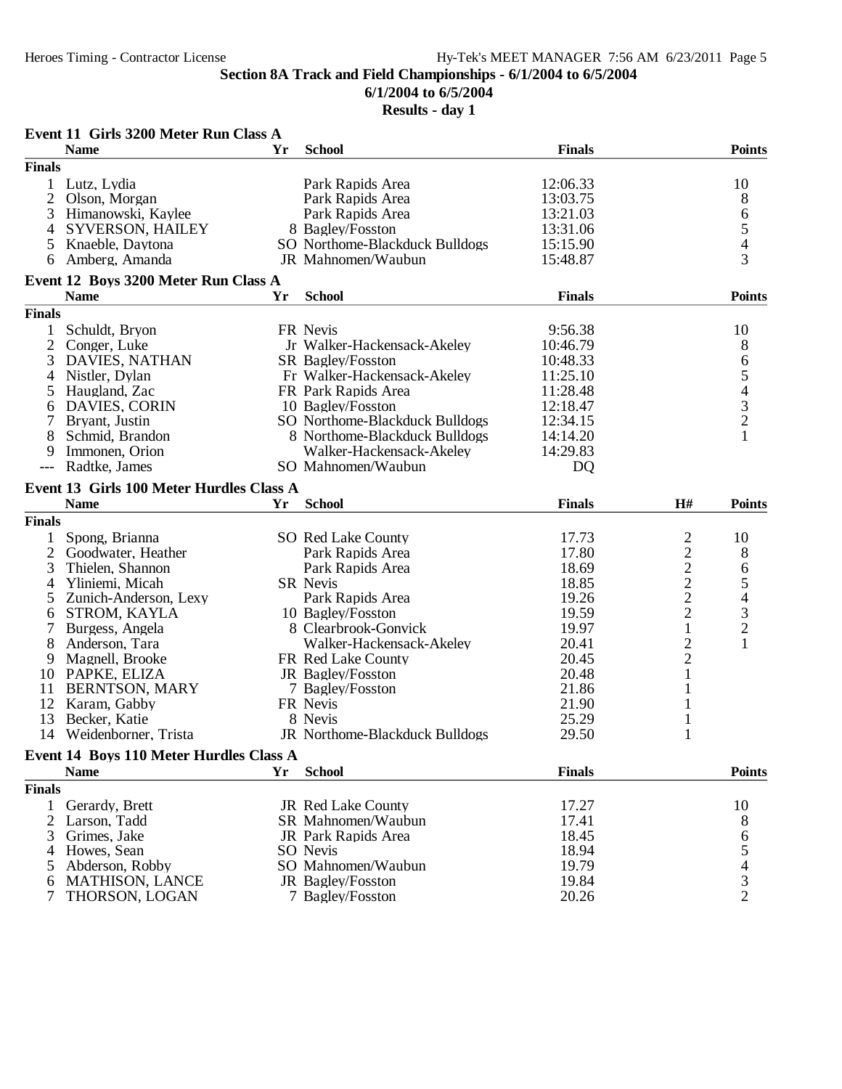**6/1/2004 to 6/5/2004**

|                | Event 11 Girls 3200 Meter Run Class A    |    |                                       |                |                                           |                                                 |
|----------------|------------------------------------------|----|---------------------------------------|----------------|-------------------------------------------|-------------------------------------------------|
|                | <b>Name</b>                              | Yr | <b>School</b>                         | <b>Finals</b>  |                                           | <b>Points</b>                                   |
| <b>Finals</b>  |                                          |    |                                       |                |                                           |                                                 |
|                | 1 Lutz, Lydia                            |    | Park Rapids Area                      | 12:06.33       |                                           | 10                                              |
| 2              | Olson, Morgan                            |    | Park Rapids Area                      | 13:03.75       |                                           | 8                                               |
| 3              | Himanowski, Kaylee                       |    | Park Rapids Area                      | 13:21.03       |                                           | 6                                               |
| 4              | SYVERSON, HAILEY                         |    | 8 Bagley/Fosston                      | 13:31.06       |                                           | $\frac{5}{4}$                                   |
| 5              | Knaeble, Daytona                         |    | SO Northome-Blackduck Bulldogs        | 15:15.90       |                                           |                                                 |
| 6              | Amberg, Amanda                           |    | JR Mahnomen/Waubun                    | 15:48.87       |                                           |                                                 |
|                | Event 12 Boys 3200 Meter Run Class A     |    |                                       |                |                                           |                                                 |
|                | <b>Name</b>                              | Yr | <b>School</b>                         | <b>Finals</b>  |                                           | <b>Points</b>                                   |
| <b>Finals</b>  |                                          |    |                                       |                |                                           |                                                 |
| 1              | Schuldt, Bryon                           |    | FR Nevis                              | 9:56.38        |                                           | 10                                              |
| $\overline{2}$ | Conger, Luke                             |    | Jr Walker-Hackensack-Akeley           | 10:46.79       |                                           | 8                                               |
| 3              | <b>DAVIES, NATHAN</b>                    |    | SR Bagley/Fosston                     | 10:48.33       |                                           |                                                 |
| 4              | Nistler, Dylan                           |    | Fr Walker-Hackensack-Akeley           | 11:25.10       |                                           | 65432                                           |
| 5              | Haugland, Zac                            |    | FR Park Rapids Area                   | 11:28.48       |                                           |                                                 |
| 6              | DAVIES, CORIN                            |    | 10 Bagley/Fosston                     | 12:18.47       |                                           |                                                 |
| 7              | Bryant, Justin                           |    | SO Northome-Blackduck Bulldogs        | 12:34.15       |                                           |                                                 |
| 8              | Schmid, Brandon                          |    | 8 Northome-Blackduck Bulldogs         | 14:14.20       |                                           | $\mathbf{1}$                                    |
|                |                                          |    | Walker-Hackensack-Akeley              |                |                                           |                                                 |
| 9              | Immonen, Orion                           |    |                                       | 14:29.83       |                                           |                                                 |
| $---$          | Radtke, James                            |    | SO Mahnomen/Waubun                    | D <sub>Q</sub> |                                           |                                                 |
|                | Event 13 Girls 100 Meter Hurdles Class A |    |                                       |                |                                           |                                                 |
|                | <b>Name</b>                              | Yr | <b>School</b>                         | <b>Finals</b>  | H#                                        | <b>Points</b>                                   |
| <b>Finals</b>  |                                          |    |                                       |                |                                           |                                                 |
|                | Spong, Brianna                           |    | SO Red Lake County                    | 17.73          |                                           | 10                                              |
| 2              | Goodwater, Heather                       |    | Park Rapids Area                      | 17.80          |                                           | 8                                               |
| 3              | Thielen, Shannon                         |    | Park Rapids Area                      | 18.69          |                                           | 6                                               |
| 4              | Yliniemi, Micah                          |    | SR Nevis                              | 18.85          |                                           |                                                 |
| 5              | Zunich-Anderson, Lexy                    |    | Park Rapids Area                      | 19.26          |                                           |                                                 |
| 6              | STROM, KAYLA                             |    | 10 Bagley/Fosston                     | 19.59          | $\frac{2}{2}$ $\frac{2}{2}$ $\frac{2}{2}$ |                                                 |
|                | Burgess, Angela                          |    | 8 Clearbrook-Gonvick                  | 19.97          | $\mathbf{1}$                              | $\begin{array}{c} 5 \\ 4 \\ 3 \\ 2 \end{array}$ |
| 8              | Anderson, Tara                           |    | Walker-Hackensack-Akeley              | 20.41          | $\overline{c}$                            | $\mathbf{1}$                                    |
| 9              | Magnell, Brooke                          |    | FR Red Lake County                    | 20.45          | $\overline{c}$                            |                                                 |
| 10             |                                          |    |                                       | 20.48          | 1                                         |                                                 |
|                | PAPKE, ELIZA                             |    | JR Bagley/Fosston                     |                |                                           |                                                 |
| 11             | <b>BERNTSON, MARY</b>                    |    | 7 Bagley/Fosston                      | 21.86          |                                           |                                                 |
| 12             | Karam, Gabby                             |    | FR Nevis                              | 21.90          | 1                                         |                                                 |
| 13             | Becker, Katie                            |    | 8 Nevis                               | 25.29          | 1                                         |                                                 |
| 14             |                                          |    |                                       |                |                                           |                                                 |
|                | Weidenborner, Trista                     |    | JR Northome-Blackduck Bulldogs        | 29.50          | 1                                         |                                                 |
|                | Event 14 Boys 110 Meter Hurdles Class A  |    |                                       |                |                                           |                                                 |
|                | <b>Name</b>                              | Yr | <b>School</b>                         | <b>Finals</b>  |                                           | <b>Points</b>                                   |
|                |                                          |    |                                       |                |                                           |                                                 |
| <b>Finals</b>  |                                          |    |                                       |                |                                           |                                                 |
| 1              | Gerardy, Brett                           |    | <b>JR Red Lake County</b>             | 17.27          |                                           | 10                                              |
| 2              | Larson, Tadd                             |    | SR Mahnomen/Waubun                    | 17.41          |                                           | 8                                               |
| 3              | Grimes, Jake                             |    | JR Park Rapids Area                   | 18.45          |                                           | 6                                               |
|                | Howes, Sean                              |    | SO Nevis                              | 18.94          |                                           |                                                 |
| 5              | Abderson, Robby                          |    | SO Mahnomen/Waubun                    | 19.79          |                                           |                                                 |
| 6<br>7         | <b>MATHISON, LANCE</b><br>THORSON, LOGAN |    | JR Bagley/Fosston<br>7 Bagley/Fosston | 19.84<br>20.26 |                                           | $\begin{array}{c} 5 \\ 4 \\ 3 \\ 2 \end{array}$ |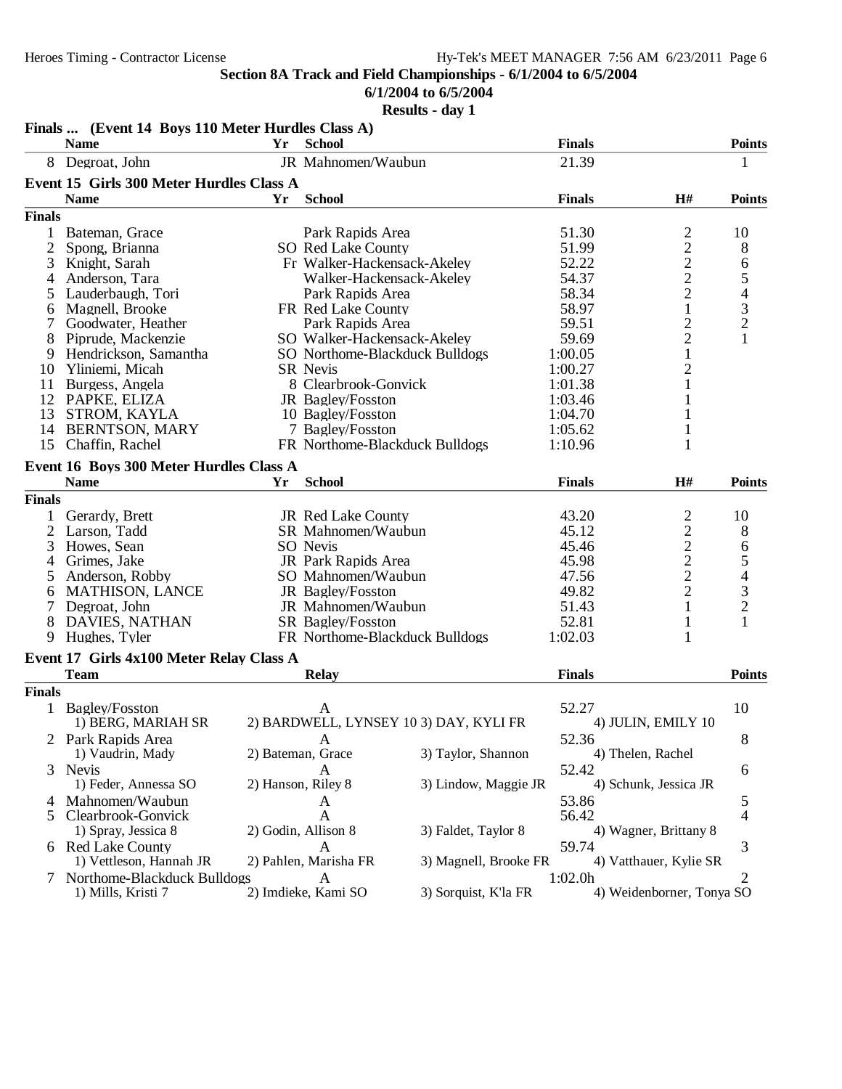**6/1/2004 to 6/5/2004**

|                | Finals  (Event 14 Boys 110 Meter Hurdles Class A) |                    |                             |                                        |               |                                                 |                                                 |
|----------------|---------------------------------------------------|--------------------|-----------------------------|----------------------------------------|---------------|-------------------------------------------------|-------------------------------------------------|
|                | <b>Name</b>                                       | Yr                 | <b>School</b>               |                                        | <b>Finals</b> |                                                 | <b>Points</b>                                   |
|                | 8 Degroat, John                                   |                    | JR Mahnomen/Waubun          |                                        | 21.39         |                                                 | 1                                               |
|                | Event 15 Girls 300 Meter Hurdles Class A          |                    |                             |                                        |               |                                                 |                                                 |
|                | <b>Name</b>                                       | Yr                 | <b>School</b>               |                                        | <b>Finals</b> | H#                                              | <b>Points</b>                                   |
| <b>Finals</b>  |                                                   |                    |                             |                                        |               |                                                 |                                                 |
| 1              | Bateman, Grace                                    |                    | Park Rapids Area            |                                        | 51.30         |                                                 | 10                                              |
| 2              | Spong, Brianna                                    |                    | SO Red Lake County          |                                        | 51.99         |                                                 | 8                                               |
| 3              | Knight, Sarah                                     |                    |                             | Fr Walker-Hackensack-Akeley            | 52.22         |                                                 | 6                                               |
| 4              | Anderson, Tara                                    |                    |                             | Walker-Hackensack-Akeley               | 54.37         |                                                 |                                                 |
| 5              | Lauderbaugh, Tori                                 |                    | Park Rapids Area            |                                        | 58.34         |                                                 |                                                 |
| 6              | Magnell, Brooke                                   |                    | FR Red Lake County          |                                        | 58.97         | $\frac{2}{2}$ $\frac{2}{2}$ $\frac{2}{1}$       | $\frac{5}{4}$<br>$\frac{3}{2}$                  |
| 7              | Goodwater, Heather                                |                    | Park Rapids Area            |                                        | 59.51         |                                                 |                                                 |
| 8              | Piprude, Mackenzie                                |                    | SO Walker-Hackensack-Akeley |                                        | 59.69         | $\frac{2}{1}$                                   | $\mathbf{1}$                                    |
| 9              | Hendrickson, Samantha                             |                    |                             | SO Northome-Blackduck Bulldogs         | 1:00.05       |                                                 |                                                 |
| 10             | Yliniemi, Micah                                   |                    | <b>SR</b> Nevis             |                                        | 1:00.27       | $\overline{c}$                                  |                                                 |
| 11             | Burgess, Angela                                   |                    | 8 Clearbrook-Gonvick        |                                        | 1:01.38       | 1                                               |                                                 |
| 12             | PAPKE, ELIZA                                      |                    | JR Bagley/Fosston           |                                        | 1:03.46       |                                                 |                                                 |
| 13             | STROM, KAYLA                                      |                    | 10 Bagley/Fosston           |                                        | 1:04.70       | 1                                               |                                                 |
| 14             | <b>BERNTSON, MARY</b>                             |                    | 7 Bagley/Fosston            |                                        | 1:05.62       | 1                                               |                                                 |
| 15             | Chaffin, Rachel                                   |                    |                             | FR Northome-Blackduck Bulldogs         | 1:10.96       | 1                                               |                                                 |
|                | Event 16 Boys 300 Meter Hurdles Class A           |                    |                             |                                        |               |                                                 |                                                 |
|                | <b>Name</b>                                       | Yr                 | <b>School</b>               |                                        | <b>Finals</b> | H#                                              | <b>Points</b>                                   |
| <b>Finals</b>  |                                                   |                    |                             |                                        |               |                                                 |                                                 |
|                | Gerardy, Brett                                    |                    | JR Red Lake County          |                                        | 43.20         |                                                 | 10                                              |
| $\overline{2}$ | Larson, Tadd                                      |                    | SR Mahnomen/Waubun          |                                        | 45.12         | $\frac{2}{2}$<br>$\frac{2}{2}$<br>$\frac{2}{2}$ | 8                                               |
| 3              | Howes, Sean                                       |                    | SO Nevis                    |                                        | 45.46         |                                                 | 6                                               |
| 4              | Grimes, Jake                                      |                    | JR Park Rapids Area         |                                        | 45.98         |                                                 |                                                 |
| 5              | Anderson, Robby                                   |                    | SO Mahnomen/Waubun          |                                        | 47.56         |                                                 | $\begin{array}{c} 5 \\ 4 \\ 3 \\ 2 \end{array}$ |
|                | <b>MATHISON, LANCE</b>                            |                    | JR Bagley/Fosston           |                                        | 49.82         |                                                 |                                                 |
| 6              |                                                   |                    | JR Mahnomen/Waubun          |                                        | 51.43         | 1                                               |                                                 |
| 8              | Degroat, John<br><b>DAVIES, NATHAN</b>            |                    | SR Bagley/Fosston           |                                        | 52.81         | $\mathbf{1}$                                    | $\mathbf{1}$                                    |
| 9              | Hughes, Tyler                                     |                    |                             | FR Northome-Blackduck Bulldogs         | 1:02.03       | 1                                               |                                                 |
|                |                                                   |                    |                             |                                        |               |                                                 |                                                 |
|                | Event 17 Girls 4x100 Meter Relay Class A          |                    |                             |                                        |               |                                                 |                                                 |
|                | <b>Team</b>                                       |                    | <b>Relay</b>                |                                        | <b>Finals</b> |                                                 | <b>Points</b>                                   |
| <b>Finals</b>  |                                                   |                    |                             |                                        |               |                                                 |                                                 |
|                | 1 Bagley/Fosston                                  |                    | A                           |                                        | 52.27         |                                                 | 10                                              |
|                | 1) BERG, MARIAH SR                                |                    |                             | 2) BARDWELL, LYNSEY 10 3) DAY, KYLI FR |               | 4) JULIN, EMILY 10                              |                                                 |
|                | 2 Park Rapids Area                                |                    | A                           |                                        | 52.36         |                                                 | 8                                               |
|                | 1) Vaudrin, Mady                                  |                    | 2) Bateman, Grace           | 3) Taylor, Shannon                     |               | 4) Thelen, Rachel                               |                                                 |
| 3              | Nevis                                             |                    | A                           |                                        | 52.42         |                                                 | 6                                               |
|                | 1) Feder, Annessa SO                              | 2) Hanson, Riley 8 |                             | 3) Lindow, Maggie JR                   |               | 4) Schunk, Jessica JR                           |                                                 |
| 4              | Mahnomen/Waubun                                   |                    | A                           |                                        | 53.86         |                                                 | 5                                               |
| 5              | Clearbrook-Gonvick                                |                    | A                           |                                        | 56.42         |                                                 | 4                                               |
|                | 1) Spray, Jessica 8                               |                    | 2) Godin, Allison 8         | 3) Faldet, Taylor 8                    |               | 4) Wagner, Brittany 8                           |                                                 |
|                | 6 Red Lake County                                 |                    | A                           |                                        | 59.74         |                                                 | 3                                               |
|                | 1) Vettleson, Hannah JR                           |                    | 2) Pahlen, Marisha FR       | 3) Magnell, Brooke FR                  |               | 4) Vatthauer, Kylie SR                          |                                                 |
| 7              | Northome-Blackduck Bulldogs                       |                    | A                           |                                        | 1:02.0h       |                                                 | 2                                               |
|                | 1) Mills, Kristi 7                                |                    | 2) Imdieke, Kami SO         | 3) Sorquist, K'la FR                   |               | 4) Weidenborner, Tonya SO                       |                                                 |
|                |                                                   |                    |                             |                                        |               |                                                 |                                                 |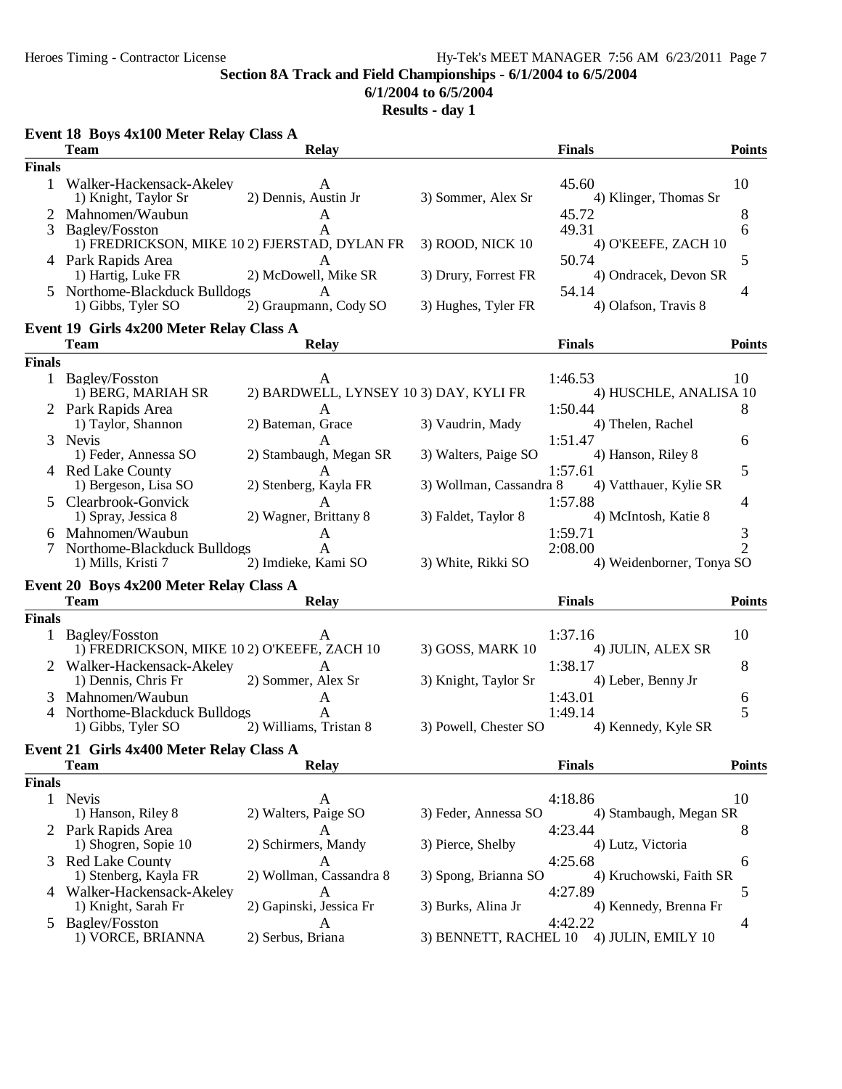# **6/1/2004 to 6/5/2004**

|               | Event 18 Boys 4x100 Meter Relay Class A                             |                                        |                         |                                          |                     |
|---------------|---------------------------------------------------------------------|----------------------------------------|-------------------------|------------------------------------------|---------------------|
|               | <b>Team</b>                                                         | <b>Relay</b>                           |                         | <b>Finals</b>                            | <b>Points</b>       |
| <b>Finals</b> |                                                                     |                                        |                         |                                          |                     |
|               | 1 Walker-Hackensack-Akeley<br>1) Knight, Taylor Sr                  | $\mathsf{A}$<br>2) Dennis, Austin Jr   | 3) Sommer, Alex Sr      | 45.60<br>4) Klinger, Thomas Sr           | 10                  |
|               | 2 Mahnomen/Waubun                                                   | A                                      |                         | 45.72                                    | 8                   |
| 3             | Bagley/Fosston                                                      | A                                      |                         | 49.31                                    | 6                   |
|               | 1) FREDRICKSON, MIKE 10 2) FJERSTAD, DYLAN FR<br>4 Park Rapids Area | A                                      | 3) ROOD, NICK 10        | 4) O'KEEFE, ZACH 10<br>50.74             | 5                   |
|               | 1) Hartig, Luke FR                                                  | 2) McDowell, Mike SR                   | 3) Drury, Forrest FR    | 4) Ondracek, Devon SR                    |                     |
|               | Northome-Blackduck Bulldogs                                         | A                                      |                         | 54.14                                    | 4                   |
|               | 1) Gibbs, Tyler SO                                                  | 2) Graupmann, Cody SO                  | 3) Hughes, Tyler FR     | 4) Olafson, Travis 8                     |                     |
|               | Event 19 Girls 4x200 Meter Relay Class A                            |                                        |                         |                                          |                     |
|               | <b>Team</b>                                                         | <b>Relay</b>                           |                         | <b>Finals</b>                            | <b>Points</b>       |
| <b>Finals</b> |                                                                     |                                        |                         |                                          |                     |
|               | 1 Bagley/Fosston                                                    | A                                      |                         | 1:46.53                                  | 10                  |
|               | 1) BERG, MARIAH SR                                                  | 2) BARDWELL, LYNSEY 10 3) DAY, KYLI FR |                         | 4) HUSCHLE, ANALISA 10                   |                     |
|               | 2 Park Rapids Area                                                  | A                                      |                         | 1:50.44                                  | 8                   |
|               | 1) Taylor, Shannon<br>3 Nevis                                       | 2) Bateman, Grace<br>A                 | 3) Vaudrin, Mady        | 4) Thelen, Rachel<br>1:51.47             | 6                   |
|               | 1) Feder, Annessa SO                                                | 2) Stambaugh, Megan SR                 | 3) Walters, Paige SO    | 4) Hanson, Riley 8                       |                     |
|               | 4 Red Lake County                                                   | A                                      |                         | 1:57.61                                  | 5                   |
|               | 1) Bergeson, Lisa SO                                                | 2) Stenberg, Kayla FR                  | 3) Wollman, Cassandra 8 | 4) Vatthauer, Kylie SR                   |                     |
| $\mathcal{F}$ | Clearbrook-Gonvick                                                  |                                        |                         | 1:57.88                                  | 4                   |
|               | 1) Spray, Jessica 8                                                 | 2) Wagner, Brittany 8                  | 3) Faldet, Taylor 8     | 4) McIntosh, Katie 8                     |                     |
|               | Mahnomen/Waubun<br>Northome-Blackduck Bulldogs                      | A<br>$\mathbf{A}$                      |                         | 1:59.71<br>2:08.00                       | 3<br>$\overline{2}$ |
|               | 1) Mills, Kristi 7                                                  | 2) Imdieke, Kami SO                    | 3) White, Rikki SO      | 4) Weidenborner, Tonya SO                |                     |
|               | Event 20 Boys 4x200 Meter Relay Class A                             |                                        |                         |                                          |                     |
|               | <b>Team</b>                                                         | <b>Relay</b>                           |                         | <b>Finals</b>                            | <b>Points</b>       |
| <b>Finals</b> |                                                                     |                                        |                         |                                          |                     |
|               | 1 Bagley/Fosston                                                    | A                                      |                         | 1:37.16                                  | 10                  |
|               | 1) FREDRICKSON, MIKE 10 2) O'KEEFE, ZACH 10                         |                                        | 3) GOSS, MARK 10        | 4) JULIN, ALEX SR                        |                     |
|               | Walker-Hackensack-Akeley                                            | A                                      |                         | 1:38.17                                  | 8                   |
|               | 1) Dennis, Chris Fr                                                 | 2) Sommer, Alex Sr                     | 3) Knight, Taylor Sr    | 4) Leber, Benny Jr                       |                     |
| 3<br>4        | Mahnomen/Waubun<br>Northome-Blackduck Bulldogs                      | A<br>$\overline{A}$                    |                         | 1:43.01<br>1:49.14                       | 6<br>5              |
|               | 1) Gibbs, Tyler SO                                                  | 2) Williams, Tristan 8                 | 3) Powell, Chester SO   | 4) Kennedy, Kyle SR                      |                     |
|               | Event 21 Girls 4x400 Meter Relay Class A                            |                                        |                         |                                          |                     |
|               | <b>Team</b>                                                         | <b>Relay</b>                           |                         | <b>Finals</b>                            | <b>Points</b>       |
| <b>Finals</b> |                                                                     |                                        |                         |                                          |                     |
|               | 1 Nevis                                                             | A                                      |                         | 4:18.86                                  | 10                  |
|               | 1) Hanson, Riley 8                                                  | 2) Walters, Paige SO                   | 3) Feder, Annessa SO    | 4) Stambaugh, Megan SR                   |                     |
|               | 2 Park Rapids Area                                                  | A                                      |                         | 4:23.44                                  | 8                   |
|               | 1) Shogren, Sopie 10                                                | 2) Schirmers, Mandy                    | 3) Pierce, Shelby       | 4) Lutz, Victoria                        |                     |
|               | 3 Red Lake County<br>1) Stenberg, Kayla FR                          | A<br>2) Wollman, Cassandra 8           | 3) Spong, Brianna SO    | 4:25.68<br>4) Kruchowski, Faith SR       | 6                   |
|               | 4 Walker-Hackensack-Akeley                                          | A                                      |                         | 4:27.89                                  | 5                   |
|               | 1) Knight, Sarah Fr                                                 | 2) Gapinski, Jessica Fr                | 3) Burks, Alina Jr      | 4) Kennedy, Brenna Fr                    |                     |
| $\mathcal{L}$ | <b>Bagley/Fosston</b>                                               | A                                      |                         | 4:42.22                                  | 4                   |
|               | 1) VORCE, BRIANNA                                                   | 2) Serbus, Briana                      |                         | 3) BENNETT, RACHEL 10 4) JULIN, EMILY 10 |                     |
|               |                                                                     |                                        |                         |                                          |                     |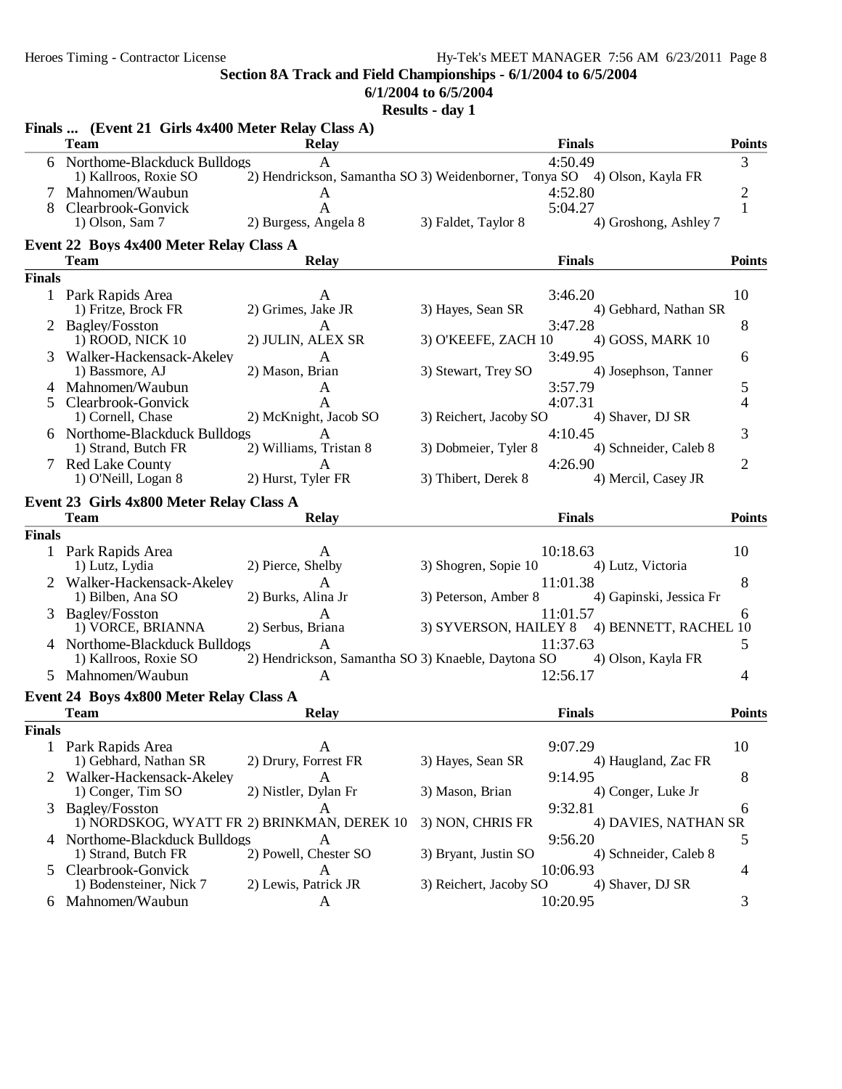**6/1/2004 to 6/5/2004**

|               | Finals  (Event 21 Girls 4x400 Meter Relay Class A)     |                                                                               |                        |                                             |                |
|---------------|--------------------------------------------------------|-------------------------------------------------------------------------------|------------------------|---------------------------------------------|----------------|
|               | <b>Team</b>                                            | <b>Relay</b>                                                                  |                        | <b>Finals</b>                               | <b>Points</b>  |
|               | 6 Northome-Blackduck Bulldogs<br>1) Kallroos, Roxie SO | A<br>2) Hendrickson, Samantha SO 3) Weidenborner, Tonya SO 4) Olson, Kayla FR |                        | 4:50.49                                     | 3              |
|               | Mahnomen/Waubun                                        | A                                                                             |                        | 4:52.80                                     | $\overline{c}$ |
| 8             | Clearbrook-Gonvick                                     | A                                                                             |                        | 5:04.27                                     | $\mathbf{1}$   |
|               | 1) Olson, Sam 7                                        | 2) Burgess, Angela 8                                                          | 3) Faldet, Taylor 8    | 4) Groshong, Ashley 7                       |                |
|               | Event 22 Boys 4x400 Meter Relay Class A                |                                                                               |                        |                                             |                |
|               | <b>Team</b>                                            | <b>Relay</b>                                                                  |                        | <b>Finals</b>                               | <b>Points</b>  |
| <b>Finals</b> |                                                        |                                                                               |                        |                                             |                |
|               | 1 Park Rapids Area                                     | A                                                                             |                        | 3:46.20                                     | 10             |
|               | 1) Fritze, Brock FR                                    | 2) Grimes, Jake JR                                                            | 3) Hayes, Sean SR      | 4) Gebhard, Nathan SR                       |                |
| 2             | <b>Bagley/Fosston</b>                                  | A                                                                             |                        | 3:47.28                                     | 8              |
|               | 1) ROOD, NICK 10                                       | 2) JULIN, ALEX SR                                                             | 3) O'KEEFE, ZACH 10    | 4) GOSS, MARK 10                            |                |
| 3             | Walker-Hackensack-Akeley                               | A                                                                             |                        | 3:49.95                                     | 6              |
|               | 1) Bassmore, AJ                                        | 2) Mason, Brian                                                               | 3) Stewart, Trey SO    | 4) Josephson, Tanner                        |                |
|               | 4 Mahnomen/Waubun                                      | A                                                                             |                        | 3:57.79                                     | 5              |
| 5             | Clearbrook-Gonvick                                     | $\mathbf{A}$                                                                  |                        | 4:07.31                                     | 4              |
|               | 1) Cornell, Chase                                      | 2) McKnight, Jacob SO                                                         | 3) Reichert, Jacoby SO | 4) Shaver, DJ SR                            |                |
|               | 6 Northome-Blackduck Bulldogs                          | A                                                                             |                        | 4:10.45                                     | 3              |
|               | 1) Strand, Butch FR                                    | 2) Williams, Tristan 8                                                        | 3) Dobmeier, Tyler 8   | 4) Schneider, Caleb 8                       |                |
|               | 7 Red Lake County                                      | A                                                                             |                        | 4:26.90                                     | $\overline{2}$ |
|               | 1) O'Neill, Logan 8                                    | 2) Hurst, Tyler FR                                                            | 3) Thibert, Derek 8    | 4) Mercil, Casey JR                         |                |
|               | Event 23 Girls 4x800 Meter Relay Class A               |                                                                               |                        |                                             |                |
|               | <b>Team</b>                                            | <b>Relay</b>                                                                  |                        | <b>Finals</b>                               | <b>Points</b>  |
| <b>Finals</b> |                                                        |                                                                               |                        |                                             |                |
|               | 1 Park Rapids Area                                     | A                                                                             |                        | 10:18.63                                    | 10             |
|               | 1) Lutz, Lydia                                         | 2) Pierce, Shelby                                                             | 3) Shogren, Sopie 10   | 4) Lutz, Victoria                           |                |
|               | 2 Walker-Hackensack-Akeley                             | A                                                                             |                        | 11:01.38                                    | 8              |
|               | 1) Bilben, Ana SO                                      | 2) Burks, Alina Jr                                                            | 3) Peterson, Amber 8   | 4) Gapinski, Jessica Fr                     |                |
| 3             | <b>Bagley/Fosston</b>                                  | A                                                                             |                        | 11:01.57                                    | 6              |
|               | 1) VORCE, BRIANNA                                      | 2) Serbus, Briana                                                             |                        | 3) SYVERSON, HAILEY 8 4) BENNETT, RACHEL 10 |                |
|               | 4 Northome-Blackduck Bulldogs                          | A                                                                             |                        | 11:37.63                                    | 5              |
|               | 1) Kallroos, Roxie SO                                  | 2) Hendrickson, Samantha SO 3) Knaeble, Daytona SO                            |                        | 4) Olson, Kayla FR                          |                |
|               | 5 Mahnomen/Waubun                                      | $\mathbf{A}$                                                                  |                        | 12:56.17                                    | 4              |
|               | Event 24 Boys 4x800 Meter Relay Class A                |                                                                               |                        |                                             |                |
|               | <b>Team</b>                                            | <b>Relay</b>                                                                  |                        | <b>Finals</b>                               | <b>Points</b>  |
| <b>Finals</b> |                                                        |                                                                               |                        |                                             |                |
|               | 1 Park Rapids Area                                     | A                                                                             |                        | 9:07.29                                     | 10             |
|               | 1) Gebhard, Nathan SR                                  | 2) Drury, Forrest FR                                                          | 3) Hayes, Sean SR      | 4) Haugland, Zac FR                         |                |
|               | Walker-Hackensack-Akeley                               | A                                                                             |                        | 9:14.95                                     | 8              |
|               | 1) Conger, Tim SO                                      | 2) Nistler, Dylan Fr                                                          | 3) Mason, Brian        | 4) Conger, Luke Jr                          |                |
|               | 3 Bagley/Fosston                                       | A                                                                             |                        | 9:32.81                                     | 6              |
|               | 1) NORDSKOG, WYATT FR 2) BRINKMAN, DEREK 10            |                                                                               | 3) NON, CHRIS FR       | 4) DAVIES, NATHAN SR                        |                |
|               | 4 Northome-Blackduck Bulldogs                          | A                                                                             |                        | 9:56.20                                     | 5              |
|               | 1) Strand, Butch FR                                    | 2) Powell, Chester SO                                                         | 3) Bryant, Justin SO   | 4) Schneider, Caleb 8                       |                |
|               | 5 Clearbrook-Gonvick                                   | A                                                                             |                        | 10:06.93                                    | 4              |
|               | 1) Bodensteiner, Nick 7                                | 2) Lewis, Patrick JR                                                          | 3) Reichert, Jacoby SO | 4) Shaver, DJ SR                            |                |
|               | 6 Mahnomen/Waubun                                      | A                                                                             |                        | 10:20.95                                    | 3              |
|               |                                                        |                                                                               |                        |                                             |                |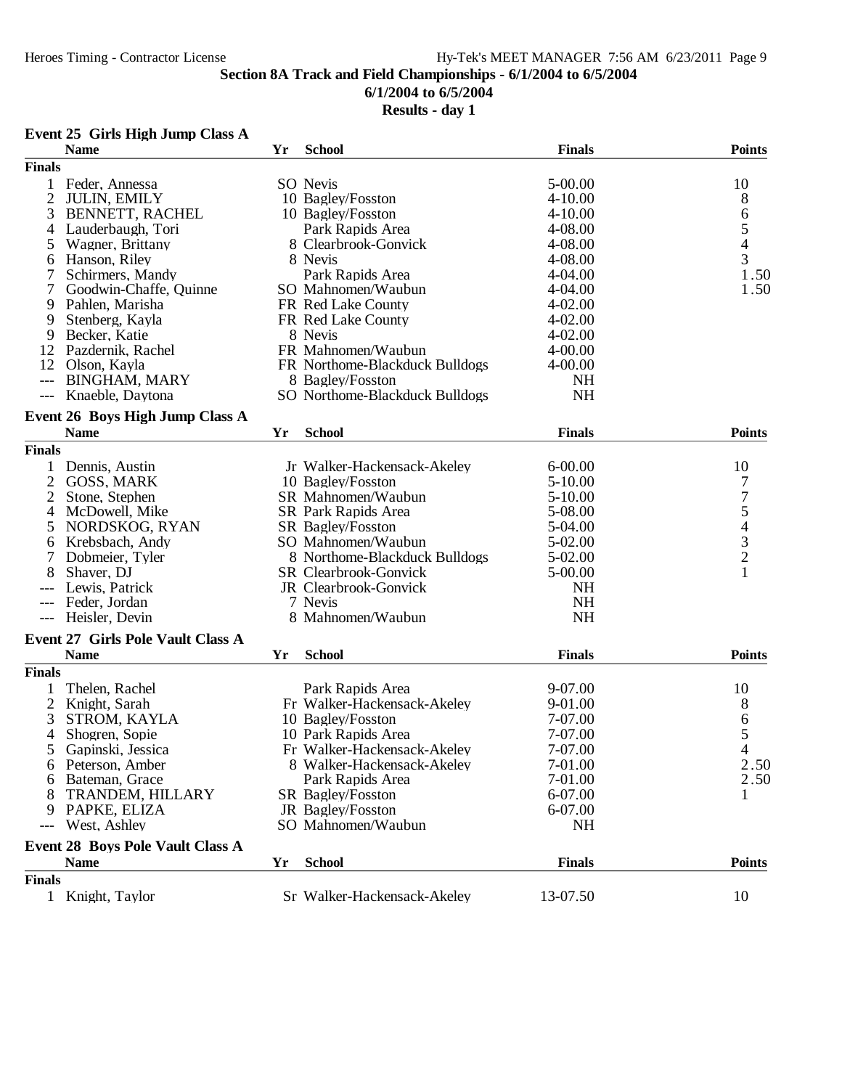#### **6/1/2004 to 6/5/2004**

### **Results - day 1**

## **Event 25 Girls High Jump Class A**

|                     | <b>Name</b>                              | Yr | <b>School</b>                  | <b>Finals</b> | <b>Points</b>                              |
|---------------------|------------------------------------------|----|--------------------------------|---------------|--------------------------------------------|
| <b>Finals</b>       |                                          |    |                                |               |                                            |
| 1                   | Feder, Annessa                           |    | SO Nevis                       | 5-00.00       | 10                                         |
| $\overline{2}$      | <b>JULIN, EMILY</b>                      |    | 10 Bagley/Fosston              | $4 - 10.00$   | 8                                          |
| 3                   | <b>BENNETT, RACHEL</b>                   |    | 10 Bagley/Fosston              | $4 - 10.00$   | 6                                          |
| 4                   | Lauderbaugh, Tori                        |    | Park Rapids Area               | 4-08.00       |                                            |
| 5                   | Wagner, Brittany                         |    | 8 Clearbrook-Gonvick           | 4-08.00       | $\frac{5}{4}$                              |
| 6                   | Hanson, Riley                            |    | 8 Nevis                        | 4-08.00       | 3                                          |
| 7                   | Schirmers, Mandy                         |    | Park Rapids Area               | 4-04.00       | 1.50                                       |
| 7                   | Goodwin-Chaffe, Quinne                   |    | SO Mahnomen/Waubun             | $4 - 04.00$   | 1.50                                       |
| 9                   | Pahlen, Marisha                          |    | FR Red Lake County             | $4 - 02.00$   |                                            |
| 9                   | Stenberg, Kayla                          |    | FR Red Lake County             | $4 - 02.00$   |                                            |
| 9                   | Becker, Katie                            |    | 8 Nevis                        | $4 - 02.00$   |                                            |
| 12                  | Pazdernik, Rachel                        |    | FR Mahnomen/Waubun             | $4 - 00.00$   |                                            |
| 12                  | Olson, Kayla                             |    | FR Northome-Blackduck Bulldogs | $4 - 00.00$   |                                            |
| $---$               | <b>BINGHAM, MARY</b>                     |    | 8 Bagley/Fosston               | <b>NH</b>     |                                            |
| $\qquad \qquad - -$ | Knaeble, Daytona                         |    | SO Northome-Blackduck Bulldogs | <b>NH</b>     |                                            |
|                     | Event 26 Boys High Jump Class A          |    |                                |               |                                            |
|                     | <b>Name</b>                              | Yr | <b>School</b>                  | <b>Finals</b> | <b>Points</b>                              |
| <b>Finals</b>       |                                          |    |                                |               |                                            |
|                     |                                          |    |                                |               |                                            |
|                     | Dennis, Austin                           |    | Jr Walker-Hackensack-Akeley    | $6 - 00.00$   | 10                                         |
| $\overline{2}$      | <b>GOSS, MARK</b>                        |    | 10 Bagley/Fosston              | $5-10.00$     | 7                                          |
| $\overline{2}$      | Stone, Stephen                           |    | SR Mahnomen/Waubun             | $5-10.00$     | 754321                                     |
| 4                   | McDowell, Mike                           |    | SR Park Rapids Area            | 5-08.00       |                                            |
| 5                   | NORDSKOG, RYAN                           |    | SR Bagley/Fosston              | 5-04.00       |                                            |
| 6                   | Krebsbach, Andy                          |    | SO Mahnomen/Waubun             | 5-02.00       |                                            |
| 7                   | Dobmeier, Tyler                          |    | 8 Northome-Blackduck Bulldogs  | 5-02.00       |                                            |
| 8                   | Shaver, DJ                               |    | <b>SR</b> Clearbrook-Gonvick   | 5-00.00       |                                            |
|                     | Lewis, Patrick                           |    | JR Clearbrook-Gonvick          | <b>NH</b>     |                                            |
| $---$               | Feder, Jordan                            |    | 7 Nevis                        | <b>NH</b>     |                                            |
| $---$               | Heisler, Devin                           |    | 8 Mahnomen/Waubun              | NH            |                                            |
|                     | <b>Event 27 Girls Pole Vault Class A</b> |    |                                |               |                                            |
|                     | <b>Name</b>                              | Yr | <b>School</b>                  | <b>Finals</b> | <b>Points</b>                              |
| <b>Finals</b>       |                                          |    |                                |               |                                            |
|                     | Thelen, Rachel                           |    | Park Rapids Area               | 9-07.00       | 10                                         |
| 2                   | Knight, Sarah                            |    | Fr Walker-Hackensack-Akeley    | 9-01.00       | 8                                          |
| 3                   | STROM, KAYLA                             |    | 10 Bagley/Fosston              | 7-07.00       |                                            |
| 4                   | Shogren, Sopie                           |    | 10 Park Rapids Area            | 7-07.00       | $\begin{array}{c} 6 \\ 5 \\ 4 \end{array}$ |
| 5                   | Gapinski, Jessica                        |    | Fr Walker-Hackensack-Akeley    | 7-07.00       |                                            |
| $\sigma$            | Peterson, Amber                          |    | 8 Walker-Hackensack-Akeley     | 7-01.00       | 2.50                                       |
| 6                   | Bateman, Grace                           |    | Park Rapids Area               | 7-01.00       | 2.50                                       |
|                     | TRANDEM, HILLARY                         |    | SR Bagley/Fosston              | 6-07.00       | 1                                          |
| 9                   | PAPKE, ELIZA                             |    | JR Bagley/Fosston              | 6-07.00       |                                            |
| $---$               | West, Ashley                             |    | SO Mahnomen/Waubun             | <b>NH</b>     |                                            |
|                     | <b>Event 28 Boys Pole Vault Class A</b>  |    |                                |               |                                            |
|                     | <b>Name</b>                              | Yr | <b>School</b>                  | <b>Finals</b> | <b>Points</b>                              |
| <b>Finals</b>       |                                          |    |                                |               |                                            |
|                     | Knight, Taylor                           |    | Sr Walker-Hackensack-Akeley    | 13-07.50      | 10                                         |
|                     |                                          |    |                                |               |                                            |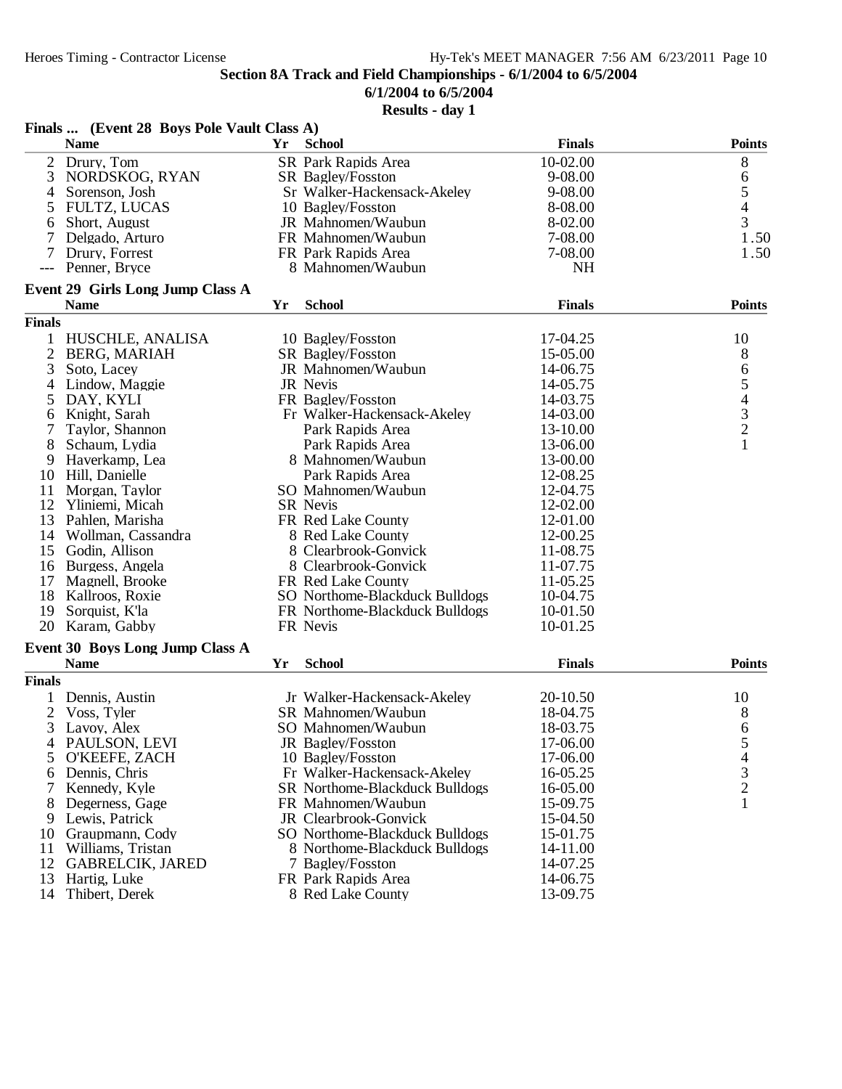**6/1/2004 to 6/5/2004**

|                | Finals  (Event 28 Boys Pole Vault Class A) |    |                                       |               |                          |
|----------------|--------------------------------------------|----|---------------------------------------|---------------|--------------------------|
|                | <b>Name</b>                                | Yr | <b>School</b>                         | <b>Finals</b> | <b>Points</b>            |
| 2              | Drury, Tom                                 |    | SR Park Rapids Area                   | 10-02.00      | 8                        |
| 3              | NORDSKOG, RYAN                             |    | SR Bagley/Fosston                     | 9-08.00       | 6                        |
| 4              | Sorenson, Josh                             |    | Sr Walker-Hackensack-Akeley           | 9-08.00       | 5                        |
| 5              | <b>FULTZ, LUCAS</b>                        |    | 10 Bagley/Fosston                     | 8-08.00       | $\overline{4}$           |
| 6              | Short, August                              |    | JR Mahnomen/Waubun                    | 8-02.00       | 3                        |
| 7              | Delgado, Arturo                            |    | FR Mahnomen/Waubun                    | 7-08.00       | 1.50                     |
|                | Drury, Forrest                             |    | FR Park Rapids Area                   | 7-08.00       | 1.50                     |
|                | Penner, Bryce                              |    | 8 Mahnomen/Waubun                     | <b>NH</b>     |                          |
|                | <b>Event 29 Girls Long Jump Class A</b>    |    |                                       |               |                          |
|                | <b>Name</b>                                | Yr | <b>School</b>                         | <b>Finals</b> | <b>Points</b>            |
| <b>Finals</b>  |                                            |    |                                       |               |                          |
| 1              | HUSCHLE, ANALISA                           |    | 10 Bagley/Fosston                     | 17-04.25      | 10                       |
| $\overline{c}$ | <b>BERG, MARIAH</b>                        |    | SR Bagley/Fosston                     | 15-05.00      | 8                        |
| 3              | Soto, Lacey                                |    | JR Mahnomen/Waubun                    | 14-06.75      |                          |
| 4              | Lindow, Maggie                             |    | JR Nevis                              | 14-05.75      |                          |
| 5              | DAY, KYLI                                  |    | FR Bagley/Fosston                     | 14-03.75      |                          |
| 6              | Knight, Sarah                              |    | Fr Walker-Hackensack-Akeley           | 14-03.00      |                          |
|                | Taylor, Shannon                            |    | Park Rapids Area                      | 13-10.00      | 65432                    |
| 8              | Schaum, Lydia                              |    | Park Rapids Area                      | 13-06.00      | $\mathbf{1}$             |
| 9              | Haverkamp, Lea                             |    | 8 Mahnomen/Waubun                     | 13-00.00      |                          |
| 10             | Hill, Danielle                             |    | Park Rapids Area                      | 12-08.25      |                          |
| 11             | Morgan, Taylor                             |    | SO Mahnomen/Waubun                    | 12-04.75      |                          |
| 12             | Yliniemi, Micah                            |    | <b>SR</b> Nevis                       | 12-02.00      |                          |
| 13             | Pahlen, Marisha                            |    | FR Red Lake County                    | 12-01.00      |                          |
| 14             | Wollman, Cassandra                         |    | 8 Red Lake County                     | 12-00.25      |                          |
| 15             | Godin, Allison                             |    | 8 Clearbrook-Gonvick                  | 11-08.75      |                          |
| 16             | Burgess, Angela                            |    | 8 Clearbrook-Gonvick                  | 11-07.75      |                          |
| 17             | Magnell, Brooke                            |    | FR Red Lake County                    | 11-05.25      |                          |
| 18             | Kallroos, Roxie                            |    | SO Northome-Blackduck Bulldogs        | 10-04.75      |                          |
| 19             | Sorquist, K'la                             |    | FR Northome-Blackduck Bulldogs        | 10-01.50      |                          |
| 20             | Karam, Gabby                               |    | FR Nevis                              | 10-01.25      |                          |
|                | Event 30 Boys Long Jump Class A            |    |                                       |               |                          |
|                | <b>Name</b>                                | Yr | <b>School</b>                         | <b>Finals</b> | <b>Points</b>            |
| <b>Finals</b>  |                                            |    |                                       |               |                          |
|                | Dennis, Austin                             |    | Jr Walker-Hackensack-Akeley           | 20-10.50      | 10                       |
| 2              | Voss, Tyler                                |    | SR Mahnomen/Waubun                    | 18-04.75      | 8                        |
| 3              | Lavoy, Alex                                |    | SO Mahnomen/Waubun                    | 18-03.75      | 6                        |
| 4              | PAULSON, LEVI                              |    | JR Bagley/Fosston                     | 17-06.00      | 5                        |
| 5              | O'KEEFE, ZACH                              |    | 10 Bagley/Fosston                     | 17-06.00      | $\overline{\mathcal{A}}$ |
| 6              | Dennis, Chris                              |    | Fr Walker-Hackensack-Akeley           | 16-05.25      |                          |
|                | Kennedy, Kyle                              |    | <b>SR</b> Northome-Blackduck Bulldogs | 16-05.00      | $\frac{3}{2}$            |
| 8              | Degerness, Gage                            |    | FR Mahnomen/Waubun                    | 15-09.75      | $\mathbf{1}$             |
| 9              | Lewis, Patrick                             |    | JR Clearbrook-Gonvick                 | 15-04.50      |                          |
| 10             | Graupmann, Cody                            |    | SO Northome-Blackduck Bulldogs        | 15-01.75      |                          |
| 11             | Williams, Tristan                          |    | 8 Northome-Blackduck Bulldogs         | 14-11.00      |                          |
| 12             | <b>GABRELCIK, JARED</b>                    |    | 7 Bagley/Fosston                      | 14-07.25      |                          |
| 13             | Hartig, Luke                               |    | FR Park Rapids Area                   | 14-06.75      |                          |
| 14             | Thibert, Derek                             |    | 8 Red Lake County                     | 13-09.75      |                          |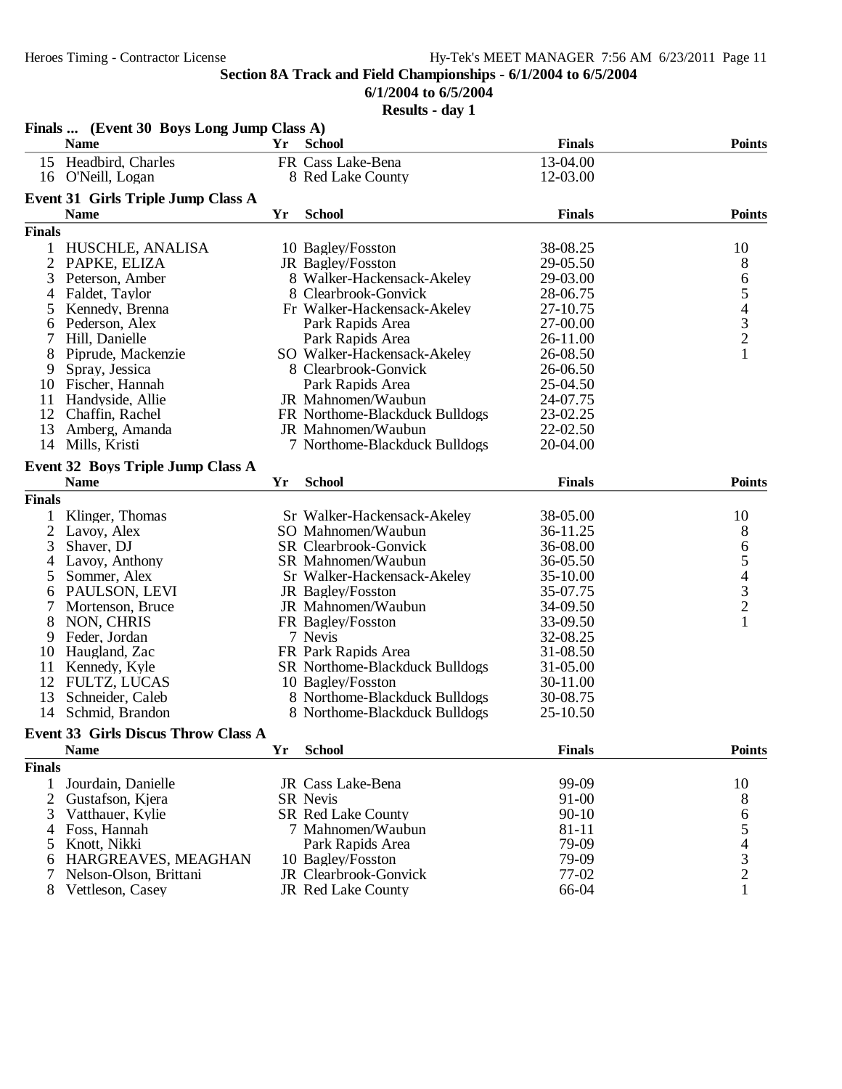**6/1/2004 to 6/5/2004**

|                | Finals  (Event 30 Boys Long Jump Class A)  |    |                                |               |                                            |
|----------------|--------------------------------------------|----|--------------------------------|---------------|--------------------------------------------|
|                | <b>Name</b>                                | Yr | School                         | <b>Finals</b> | <b>Points</b>                              |
|                | 15 Headbird, Charles                       |    | FR Cass Lake-Bena              | 13-04.00      |                                            |
|                | 16 O'Neill, Logan                          |    | 8 Red Lake County              | 12-03.00      |                                            |
|                | <b>Event 31 Girls Triple Jump Class A</b>  |    |                                |               |                                            |
|                | <b>Name</b>                                | Yr | <b>School</b>                  | <b>Finals</b> | <b>Points</b>                              |
| <b>Finals</b>  |                                            |    |                                |               |                                            |
| 1              | HUSCHLE, ANALISA                           |    | 10 Bagley/Fosston              | 38-08.25      | 10                                         |
| 2              | PAPKE, ELIZA                               |    | JR Bagley/Fosston              | 29-05.50      | 8                                          |
| 3              | Peterson, Amber                            |    | 8 Walker-Hackensack-Akeley     | 29-03.00      |                                            |
| 4              | Faldet, Taylor                             |    | 8 Clearbrook-Gonvick           | 28-06.75      | $\frac{6}{5}$                              |
| 5              | Kennedy, Brenna                            |    | Fr Walker-Hackensack-Akeley    | 27-10.75      |                                            |
| 6              | Pederson, Alex                             |    | Park Rapids Area               | 27-00.00      | $\begin{array}{c} 4 \\ 3 \\ 2 \end{array}$ |
|                | Hill, Danielle                             |    | Park Rapids Area               | 26-11.00      |                                            |
| 8              | Piprude, Mackenzie                         |    | SO Walker-Hackensack-Akeley    | 26-08.50      | $\mathbf{1}$                               |
| 9              | Spray, Jessica                             |    | 8 Clearbrook-Gonvick           | 26-06.50      |                                            |
| 10             | Fischer, Hannah                            |    | Park Rapids Area               | 25-04.50      |                                            |
| 11             | Handyside, Allie                           |    | JR Mahnomen/Waubun             | 24-07.75      |                                            |
| 12             | Chaffin, Rachel                            |    | FR Northome-Blackduck Bulldogs | 23-02.25      |                                            |
| 13             | Amberg, Amanda                             |    | JR Mahnomen/Waubun             | 22-02.50      |                                            |
| 14             | Mills, Kristi                              |    | 7 Northome-Blackduck Bulldogs  | 20-04.00      |                                            |
|                | Event 32 Boys Triple Jump Class A          |    |                                |               |                                            |
|                | <b>Name</b>                                | Yr | <b>School</b>                  | <b>Finals</b> | <b>Points</b>                              |
| <b>Finals</b>  |                                            |    |                                |               |                                            |
|                | Klinger, Thomas                            |    | Sr Walker-Hackensack-Akeley    | 38-05.00      | 10                                         |
| 2              | Lavoy, Alex                                |    | SO Mahnomen/Waubun             | 36-11.25      | 8                                          |
| 3              | Shaver, DJ                                 |    | SR Clearbrook-Gonvick          | 36-08.00      | 6                                          |
| 4              | Lavoy, Anthony                             |    | SR Mahnomen/Waubun             | 36-05.50      |                                            |
| 5              | Sommer, Alex                               |    | Sr Walker-Hackensack-Akeley    | 35-10.00      | 54321                                      |
| 6              | PAULSON, LEVI                              |    | JR Bagley/Fosston              | 35-07.75      |                                            |
|                | Mortenson, Bruce                           |    | JR Mahnomen/Waubun             | 34-09.50      |                                            |
| 8              | NON, CHRIS                                 |    | FR Bagley/Fosston              | 33-09.50      |                                            |
| 9              | Feder, Jordan                              |    | 7 Nevis                        | 32-08.25      |                                            |
| 10             | Haugland, Zac                              |    | FR Park Rapids Area            | 31-08.50      |                                            |
| 11             | Kennedy, Kyle                              |    | SR Northome-Blackduck Bulldogs | 31-05.00      |                                            |
| 12             | FULTZ, LUCAS                               |    | 10 Bagley/Fosston              | 30-11.00      |                                            |
| 13             | Schneider, Caleb                           |    | 8 Northome-Blackduck Bulldogs  | 30-08.75      |                                            |
| 14             | Schmid, Brandon                            |    | 8 Northome-Blackduck Bulldogs  | 25-10.50      |                                            |
|                | <b>Event 33 Girls Discus Throw Class A</b> |    |                                |               |                                            |
|                | <b>Name</b>                                | Yr | <b>School</b>                  | <b>Finals</b> | <b>Points</b>                              |
| <b>Finals</b>  |                                            |    |                                |               |                                            |
| 1              | Jourdain, Danielle                         |    | JR Cass Lake-Bena              | 99-09         | 10                                         |
| $\overline{2}$ | Gustafson, Kjera                           |    | SR Nevis                       | 91-00         | 8                                          |
| 3              | Vatthauer, Kylie                           |    | <b>SR Red Lake County</b>      | $90 - 10$     | 6                                          |
| 4              | Foss, Hannah                               |    | 7 Mahnomen/Waubun              | 81-11         | 5                                          |
| 5              | Knott, Nikki                               |    | Park Rapids Area               | 79-09         |                                            |
| 6              | HARGREAVES, MEAGHAN                        |    | 10 Bagley/Fosston              | 79-09         |                                            |
|                | Nelson-Olson, Brittani                     |    | JR Clearbrook-Gonvick          | 77-02         | $\begin{array}{c} 4 \\ 3 \\ 2 \end{array}$ |
| 8              | Vettleson, Casey                           |    | <b>JR Red Lake County</b>      | 66-04         | 1                                          |
|                |                                            |    |                                |               |                                            |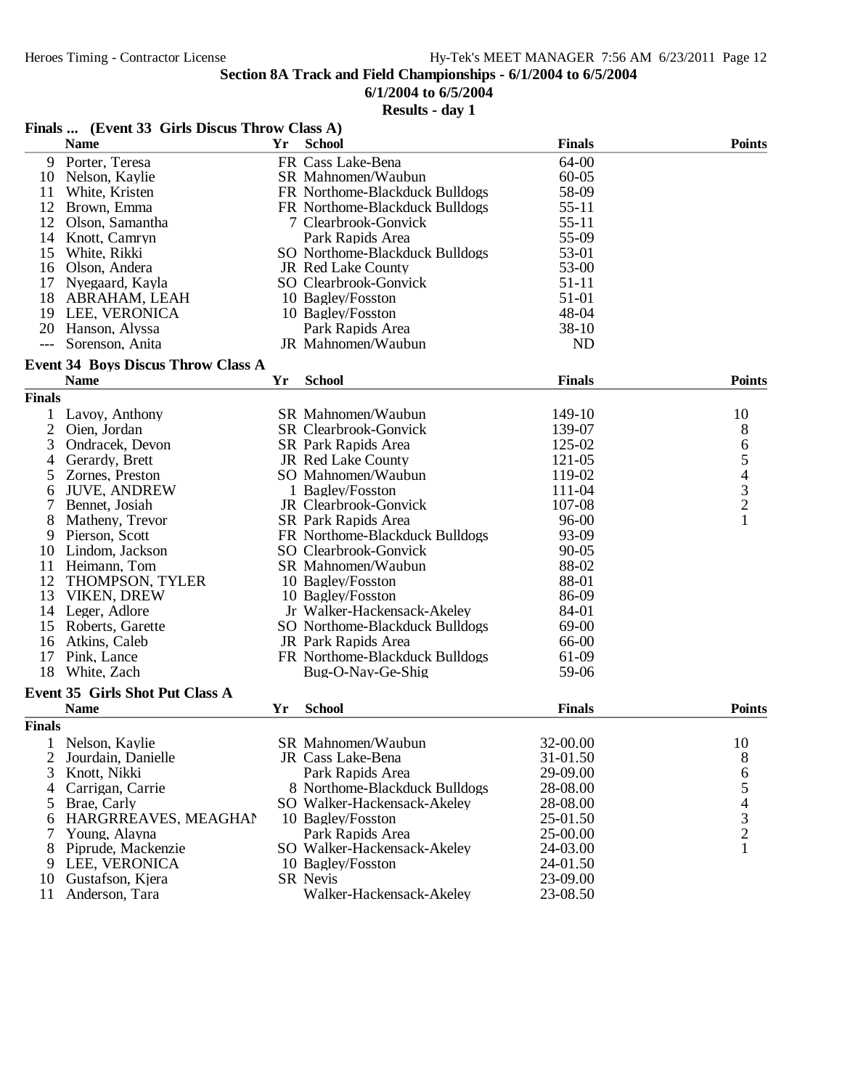## **6/1/2004 to 6/5/2004**

| Finals  (Event 33 Girls Discus Throw Class A) |                                           |    |                                                   |               |                                                 |  |  |  |  |  |
|-----------------------------------------------|-------------------------------------------|----|---------------------------------------------------|---------------|-------------------------------------------------|--|--|--|--|--|
|                                               | <b>Name</b>                               | Yr | School                                            | <b>Finals</b> | <b>Points</b>                                   |  |  |  |  |  |
|                                               | 9 Porter, Teresa                          |    | FR Cass Lake-Bena                                 | 64-00         |                                                 |  |  |  |  |  |
| 10                                            | Nelson, Kaylie                            |    | SR Mahnomen/Waubun                                | $60 - 05$     |                                                 |  |  |  |  |  |
| 11                                            | White, Kristen                            |    | FR Northome-Blackduck Bulldogs                    | 58-09         |                                                 |  |  |  |  |  |
| 12                                            | Brown, Emma                               |    | FR Northome-Blackduck Bulldogs                    | $55 - 11$     |                                                 |  |  |  |  |  |
| 12                                            | Olson, Samantha                           |    | 7 Clearbrook-Gonvick                              | $55 - 11$     |                                                 |  |  |  |  |  |
| 14                                            | Knott, Camryn                             |    | Park Rapids Area                                  | 55-09         |                                                 |  |  |  |  |  |
| 15                                            | White, Rikki                              |    | SO Northome-Blackduck Bulldogs                    | 53-01         |                                                 |  |  |  |  |  |
| 16                                            | Olson, Andera                             |    | JR Red Lake County                                | 53-00         |                                                 |  |  |  |  |  |
| 17                                            | Nyegaard, Kayla                           |    | SO Clearbrook-Gonvick                             | 51-11         |                                                 |  |  |  |  |  |
| 18                                            | ABRAHAM, LEAH                             |    | 10 Bagley/Fosston                                 | 51-01         |                                                 |  |  |  |  |  |
| 19                                            | LEE, VERONICA                             |    | 10 Bagley/Fosston                                 | 48-04         |                                                 |  |  |  |  |  |
| 20                                            | Hanson, Alyssa                            |    | Park Rapids Area                                  | 38-10         |                                                 |  |  |  |  |  |
| $---$                                         | Sorenson, Anita                           |    | JR Mahnomen/Waubun                                | <b>ND</b>     |                                                 |  |  |  |  |  |
|                                               |                                           |    |                                                   |               |                                                 |  |  |  |  |  |
|                                               | <b>Event 34 Boys Discus Throw Class A</b> |    |                                                   |               |                                                 |  |  |  |  |  |
|                                               | <b>Name</b>                               | Yr | <b>School</b>                                     | <b>Finals</b> | <b>Points</b>                                   |  |  |  |  |  |
| <b>Finals</b>                                 |                                           |    |                                                   |               |                                                 |  |  |  |  |  |
|                                               | Lavoy, Anthony                            |    | SR Mahnomen/Waubun                                | 149-10        | 10                                              |  |  |  |  |  |
| 2                                             | Oien, Jordan                              |    | SR Clearbrook-Gonvick                             | 139-07        | 8                                               |  |  |  |  |  |
| 3                                             | Ondracek, Devon                           |    | SR Park Rapids Area                               | 125-02        |                                                 |  |  |  |  |  |
| 4                                             | Gerardy, Brett                            |    | JR Red Lake County                                | 121-05        |                                                 |  |  |  |  |  |
| 5                                             | Zornes, Preston                           |    | SO Mahnomen/Waubun                                | 119-02        |                                                 |  |  |  |  |  |
| 6                                             | <b>JUVE, ANDREW</b>                       |    | 1 Bagley/Fosston                                  | 111-04        | 65432                                           |  |  |  |  |  |
| 7                                             | Bennet, Josiah                            |    | JR Clearbrook-Gonvick                             | 107-08        |                                                 |  |  |  |  |  |
| 8                                             | Matheny, Trevor                           |    | SR Park Rapids Area                               | 96-00         | $\mathbf{1}$                                    |  |  |  |  |  |
| 9                                             | Pierson, Scott                            |    | FR Northome-Blackduck Bulldogs                    | 93-09         |                                                 |  |  |  |  |  |
| 10                                            | Lindom, Jackson                           |    | SO Clearbrook-Gonvick                             | $90 - 05$     |                                                 |  |  |  |  |  |
| 11                                            | Heimann, Tom                              |    | SR Mahnomen/Waubun                                | 88-02         |                                                 |  |  |  |  |  |
| 12                                            | THOMPSON, TYLER                           |    | 10 Bagley/Fosston                                 | 88-01         |                                                 |  |  |  |  |  |
| 13                                            | VIKEN, DREW                               |    | 10 Bagley/Fosston                                 | 86-09         |                                                 |  |  |  |  |  |
| 14                                            | Leger, Adlore                             |    | Jr Walker-Hackensack-Akeley                       | 84-01         |                                                 |  |  |  |  |  |
| 15                                            | Roberts, Garette                          |    | SO Northome-Blackduck Bulldogs                    | 69-00         |                                                 |  |  |  |  |  |
| 16                                            | Atkins, Caleb                             |    | JR Park Rapids Area                               | 66-00         |                                                 |  |  |  |  |  |
| 17                                            | Pink, Lance                               |    | FR Northome-Blackduck Bulldogs                    | 61-09         |                                                 |  |  |  |  |  |
| 18                                            | White, Zach                               |    | Bug-O-Nay-Ge-Shig                                 | 59-06         |                                                 |  |  |  |  |  |
|                                               | <b>Event 35 Girls Shot Put Class A</b>    |    |                                                   |               |                                                 |  |  |  |  |  |
|                                               | <b>Name</b>                               | Yr | <b>School</b>                                     | <b>Finals</b> | <b>Points</b>                                   |  |  |  |  |  |
| <b>Finals</b>                                 |                                           |    |                                                   |               |                                                 |  |  |  |  |  |
|                                               | Nelson, Kaylie                            |    | SR Mahnomen/Waubun                                | 32-00.00      | 10                                              |  |  |  |  |  |
| 2                                             |                                           |    | JR Cass Lake-Bena                                 | 31-01.50      |                                                 |  |  |  |  |  |
| 3                                             | Jourdain, Danielle                        |    |                                                   | 29-09.00      | 8                                               |  |  |  |  |  |
|                                               | Knott, Nikki                              |    | Park Rapids Area<br>8 Northome-Blackduck Bulldogs |               | 6                                               |  |  |  |  |  |
| 4                                             | Carrigan, Carrie                          |    |                                                   | 28-08.00      |                                                 |  |  |  |  |  |
| 5                                             | Brae, Carly                               |    | SO Walker-Hackensack-Akeley                       | 28-08.00      |                                                 |  |  |  |  |  |
| 6                                             | HARGRREAVES, MEAGHAN                      |    | 10 Bagley/Fosston                                 | 25-01.50      | $\begin{array}{c} 5 \\ 4 \\ 3 \\ 2 \end{array}$ |  |  |  |  |  |
| 7                                             | Young, Alayna                             |    | Park Rapids Area                                  | 25-00.00      |                                                 |  |  |  |  |  |
| 8                                             | Piprude, Mackenzie                        |    | SO Walker-Hackensack-Akeley                       | 24-03.00      | $\mathbf{1}$                                    |  |  |  |  |  |
| 9                                             | LEE, VERONICA                             |    | 10 Bagley/Fosston                                 | 24-01.50      |                                                 |  |  |  |  |  |
| 10                                            | Gustafson, Kjera                          |    | <b>SR Nevis</b>                                   | 23-09.00      |                                                 |  |  |  |  |  |
| 11                                            | Anderson, Tara                            |    | Walker-Hackensack-Akeley                          | 23-08.50      |                                                 |  |  |  |  |  |